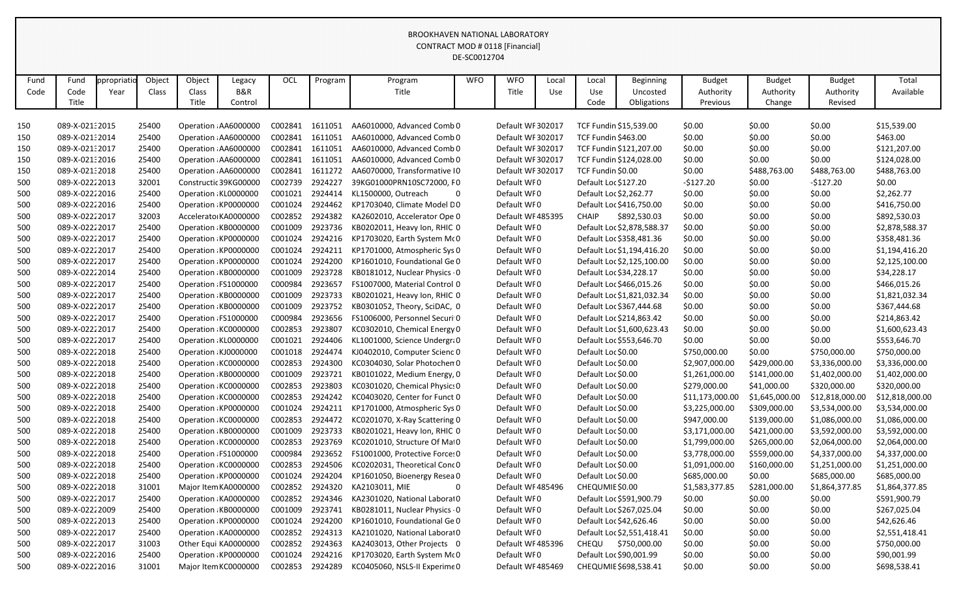|              |                       |                    |                 |                          |                                     |                 |         |                                    | DE-SC0012704 |                     |              |                        |                                             |                                        |                                      |                                       |                    |
|--------------|-----------------------|--------------------|-----------------|--------------------------|-------------------------------------|-----------------|---------|------------------------------------|--------------|---------------------|--------------|------------------------|---------------------------------------------|----------------------------------------|--------------------------------------|---------------------------------------|--------------------|
| Fund<br>Code | Fund<br>Code<br>Title | ppropriati<br>Year | Object<br>Class | Object<br>Class<br>Title | Legacy<br><b>B&amp;R</b><br>Control | OCL             | Program | Program<br>Title                   | <b>WFO</b>   | <b>WFO</b><br>Title | Local<br>Use | Local<br>Use<br>Code   | <b>Beginning</b><br>Uncosted<br>Obligations | <b>Budget</b><br>Authority<br>Previous | <b>Budget</b><br>Authority<br>Change | <b>Budget</b><br>Authority<br>Revised | Total<br>Available |
| 150          | 089-X-02132015        |                    | 25400           |                          | Operation AA6000000                 | C002841         | 1611051 | AA6010000, Advanced Comb 0         |              | Default WF 302017   |              |                        | TCF Fundin \$15,539.00                      | \$0.00                                 | \$0.00                               | \$0.00                                | \$15,539.00        |
| 150          | 089-X-02132014        |                    | 25400           |                          | Operation AA6000000                 | C002841         | 1611051 | AA6010000, Advanced Comb 0         |              | Default WF 302017   |              | TCF Fundin \$463.00    |                                             | \$0.00                                 | \$0.00                               | \$0.00                                | \$463.00           |
| 150          | 089-X-02132017        |                    | 25400           |                          | Operation AA6000000                 | C002841         | 1611051 | AA6010000, Advanced Comb 0         |              | Default WF 302017   |              |                        | TCF Fundin \$121,207.00                     | \$0.00                                 | \$0.00                               | \$0.00                                | \$121,207.00       |
| 150          | 089-X-02132016        |                    | 25400           |                          | Operation AA6000000                 | C002841         | 1611051 | AA6010000, Advanced Comb 0         |              | Default WF 302017   |              |                        | TCF Fundin \$124,028.00                     | \$0.00                                 | \$0.00                               | \$0.00                                | \$124,028.00       |
| 150          | 089-X-02132018        |                    | 25400           |                          | Operation AA6000000                 | C002841         | 1611272 | AA6070000, Transformative I0       |              | Default WF 302017   |              | TCF Fundin \$0.00      |                                             | \$0.00                                 | \$488,763.00                         | \$488,763.00                          | \$488,763.00       |
| 500          | 089-X-02222013        |                    | 32001           |                          | Constructic 39KG00000               | C002739         | 2924227 | 39KG01000PRN10SC72000, F0          |              | Default WF0         |              | Default Loc \$127.20   |                                             | $-5127.20$                             | \$0.00                               | $-$127.20$                            | \$0.00             |
| 500          | 089-X-02222016        |                    | 25400           |                          | Operation KL0000000                 | C001021         | 2924414 | KL1500000, Outreach<br>$\mathbf 0$ |              | Default WF0         |              | Default Loc \$2,262.77 |                                             | \$0.00                                 | \$0.00                               | \$0.00                                | \$2,262.77         |
| 500          | 089-X-02222016        |                    | 25400           |                          | Operation KP0000000                 | C001024         | 2924462 | KP1703040, Climate Model D0        |              | Default WF0         |              |                        | Default Loc \$416,750.00                    | \$0.00                                 | \$0.00                               | \$0.00                                | \$416,750.00       |
| 500          | 089-X-02222017        |                    | 32003           |                          | Accelerato KA0000000                | C002852         | 2924382 | KA2602010, Accelerator Ope 0       |              | Default WF485395    |              | <b>CHAIP</b>           | \$892,530.03                                | \$0.00                                 | \$0.00                               | \$0.00                                | \$892,530.03       |
| 500          | 089-X-02222017        |                    | 25400           |                          | Operation: KB0000000                | C001009         | 2923736 | KB0202011, Heavy Ion, RHIC 0       |              | Default WF0         |              |                        | Default Loc \$2,878,588.37                  | \$0.00                                 | \$0.00                               | \$0.00                                | \$2,878,588.37     |
| 500          | 089-X-02222017        |                    | 25400           |                          | Operation KP0000000                 | C001024         | 2924216 | KP1703020, Earth System McO        |              | Default WF0         |              |                        | Default Loc \$358,481.36                    | \$0.00                                 | \$0.00                               | \$0.00                                | \$358,481.36       |
| 500          | 089-X-02222017        |                    | 25400           |                          | Operation KP0000000                 | C001024         | 2924211 | KP1701000, Atmospheric Sys 0       |              | Default WF0         |              |                        | Default Loc \$1,194,416.20                  | \$0.00                                 | \$0.00                               | \$0.00                                | \$1,194,416.20     |
| 500          | 089-X-02222017        |                    | 25400           |                          | Operation KP0000000                 | C001024         | 2924200 | KP1601010, Foundational Ge 0       |              | Default WF0         |              |                        | Default Loc \$2,125,100.00                  | \$0.00                                 | \$0.00                               | \$0.00                                | \$2,125,100.00     |
| 500          | 089-X-02222014        |                    | 25400           |                          | Operation KB0000000                 | C001009         | 2923728 | KB0181012, Nuclear Physics 0       |              | Default WF0         |              |                        | Default Loc \$34,228.17                     | \$0.00                                 | \$0.00                               | \$0.00                                | \$34,228.17        |
| 500          | 089-X-02222017        |                    | 25400           |                          | Operation FS1000000                 | C000984         | 2923657 | FS1007000, Material Control 0      |              | Default WF0         |              |                        | Default Loc \$466,015.26                    | \$0.00                                 | \$0.00                               | \$0.00                                | \$466,015.26       |
| 500          | 089-X-02222017        |                    | 25400           |                          | Operation KB0000000                 | C001009         | 2923733 | KB0201021, Heavy Ion, RHIC 0       |              | Default WF0         |              |                        | Default Loc \$1,821,032.34                  | \$0.00                                 | \$0.00                               | \$0.00                                | \$1,821,032.34     |
| 500          | 089-X-02222017        |                    | 25400           |                          | Operation KB0000000                 | C001009         | 2923752 | KB0301052, Theory, SciDAC, 0       |              | Default WF0         |              |                        | Default Loc \$367,444.68                    | \$0.00                                 | \$0.00                               | \$0.00                                | \$367,444.68       |
| 500          | 089-X-02222017        |                    | 25400           |                          | Operation FS1000000                 | C000984         | 2923656 | FS1006000, Personnel Securi 0      |              | Default WF0         |              |                        | Default Loc \$214,863.42                    | \$0.00                                 | \$0.00                               | \$0.00                                | \$214,863.42       |
| 500          | 089-X-02222017        |                    | 25400           |                          | Operation KC0000000                 | C002853         | 2923807 | KC0302010, Chemical Energy 0       |              | Default WF0         |              |                        | Default Loc \$1,600,623.43                  | \$0.00                                 | \$0.00                               | \$0.00                                | \$1,600,623.43     |
| 500          | 089-X-02222017        |                    | 25400           |                          | Operation KL0000000                 | C001021         | 2924406 | KL1001000, Science Undergra0       |              | Default WF0         |              |                        | Default Loc \$553,646.70                    | \$0.00                                 | \$0.00                               | \$0.00                                | \$553,646.70       |
| 500          | 089-X-02222018        |                    | 25400           |                          | Operation KJ0000000                 | C001018         | 2924474 | KJ0402010, Computer Scienc 0       |              | Default WF0         |              | Default Loc \$0.00     |                                             | \$750,000.00                           | \$0.00                               | \$750,000.00                          | \$750,000.00       |
| 500          | 089-X-02222018        |                    | 25400           |                          | Operation KC0000000                 | C002853         | 2924300 | KC0304030, Solar Photochen 0       |              | Default WF0         |              | Default Loc \$0.00     |                                             | \$2,907,000.00                         | \$429,000.00                         | \$3,336,000.00                        | \$3,336,000.00     |
| 500          | 089-X-02222018        |                    | 25400           |                          | Operation KB0000000                 | C001009         | 2923721 | KB0101022, Medium Energy, 0        |              | Default WF0         |              | Default Loc \$0.00     |                                             | \$1,261,000.00                         | \$141,000.00                         | \$1,402,000.00                        | \$1,402,000.00     |
| 500          | 089-X-02222018        |                    | 25400           |                          | Operation KC0000000                 | C002853         | 2923803 | KC0301020, Chemical Physics 0      |              | Default WF0         |              | Default Loc \$0.00     |                                             | \$279,000.00                           | \$41,000.00                          | \$320,000.00                          | \$320,000.00       |
| 500          | 089-X-02222018        |                    | 25400           |                          | Operation KC0000000                 | C002853         | 2924242 | KC0403020, Center for Funct 0      |              | Default WF0         |              | Default Loc \$0.00     |                                             | \$11,173,000.00                        | \$1,645,000.00                       | \$12,818,000.00                       | \$12,818,000.00    |
| 500          | 089-X-02222018        |                    | 25400           |                          | Operation KP0000000                 | C001024 2924211 |         | KP1701000, Atmospheric Sys 0       |              | Default WF0         |              | Default Loc \$0.00     |                                             | \$3,225,000.00                         | \$309,000.00                         | \$3,534,000.00                        | \$3,534,000.00     |
| 500          | 089-X-02222018        |                    | 25400           |                          | Operation KC0000000                 | C002853 2924472 |         | KC0201070, X-Ray Scattering 0      |              | Default WF0         |              | Default Loc \$0.00     |                                             | \$947,000.00                           | \$139,000.00                         | \$1,086,000.00                        | \$1,086,000.00     |
| 500          | 089-X-02222018        |                    | 25400           |                          | Operation KB0000000                 | C001009         | 2923733 | KB0201021, Heavy Ion, RHIC 0       |              | Default WF0         |              | Default Loc \$0.00     |                                             | \$3,171,000.00                         | \$421,000.00                         | \$3,592,000.00                        | \$3,592,000.00     |
| 500          | 089-X-02222018        |                    | 25400           |                          | Operation KC0000000                 | C002853         | 2923769 | KC0201010, Structure Of Mai0       |              | Default WF0         |              | Default Loc \$0.00     |                                             | \$1,799,000.00                         | \$265,000.00                         | \$2,064,000.00                        | \$2,064,000.00     |
| 500          | 089-X-02222018        |                    | 25400           |                          | Operation FS1000000                 | C000984 2923652 |         | FS1001000, Protective Forces 0     |              | Default WF0         |              | Default Loc \$0.00     |                                             | \$3,778,000.00                         | \$559,000.00                         | \$4,337,000.00                        | \$4,337,000.00     |
| 500          | 089-X-02222018        |                    | 25400           |                          | Operation KC0000000                 | C002853         | 2924506 | KC0202031, Theoretical Conc 0      |              | Default WF0         |              | Default Loc \$0.00     |                                             | \$1,091,000.00                         | \$160,000.00                         | \$1,251,000.00                        | \$1,251,000.00     |
| 500          | 089-X-02222018        |                    | 25400           |                          | Operation KP0000000                 | C001024         | 2924204 | KP1601050, Bioenergy Resea 0       |              | Default WF0         |              | Default Loc \$0.00     |                                             | \$685,000.00                           | \$0.00                               | \$685,000.00                          | \$685,000.00       |
| 500          | 089-X-02222018        |                    | 31001           |                          | Major Item KA0000000                | C002852         | 2924320 | KA2103011, MIE<br>$\mathbf 0$      |              | Default WF485496    |              | CHEQUMIE \$0.00        |                                             | \$1,583,377.85                         | \$281,000.00                         | \$1,864,377.85                        | \$1,864,377.85     |
| 500          | 089-X-02222017        |                    | 25400           |                          | Operation KA0000000                 | C002852         | 2924346 | KA2301020, National Laborat0       |              | Default WF0         |              |                        | Default Loc \$591,900.79                    | \$0.00                                 | \$0.00                               | \$0.00                                | \$591,900.79       |
| 500          | 089-X-02222009        |                    | 25400           |                          | Operation KB0000000                 | C001009         | 2923741 | KB0281011, Nuclear Physics 0       |              | Default WF0         |              |                        | Default Loc \$267,025.04                    | \$0.00                                 | \$0.00                               | \$0.00                                | \$267,025.04       |
| 500          | 089-X-02222013        |                    | 25400           |                          | Operation KP0000000                 | C001024         | 2924200 | KP1601010, Foundational Ge 0       |              | Default WF0         |              |                        | Default Loc \$42,626.46                     | \$0.00                                 | \$0.00                               | \$0.00                                | \$42,626.46        |
| 500          | 089-X-02222017        |                    | 25400           |                          | Operation KA0000000                 | C002852         | 2924313 | KA2101020, National Laborat0       |              | Default WF0         |              |                        | Default Loc \$2,551,418.41                  | \$0.00                                 | \$0.00                               | \$0.00                                | \$2,551,418.41     |
| 500          | 089-X-02222017        |                    | 31003           |                          | Other Equi KA0000000                | C002852         | 2924363 | KA2403013, Other Projects 0        |              | Default WF485396    |              | CHEQU                  | \$750,000.00                                | \$0.00                                 | \$0.00                               | \$0.00                                | \$750,000.00       |
| 500          | 089-X-02222016        |                    | 25400           |                          | Operation KP0000000                 | C001024         | 2924216 | KP1703020, Earth System McO        |              | Default WF0         |              |                        | Default Loc \$90,001.99                     | \$0.00                                 | \$0.00                               | \$0.00                                | \$90,001.99        |
| 500          | 089-X-02222016        |                    | 31001           |                          | Major Item KC0000000                | C002853 2924289 |         | KC0405060, NSLS-II Experime 0      |              | Default WF485469    |              |                        | CHEQUMIE \$698,538.41                       | \$0.00                                 | \$0.00                               | \$0.00                                | \$698,538.41       |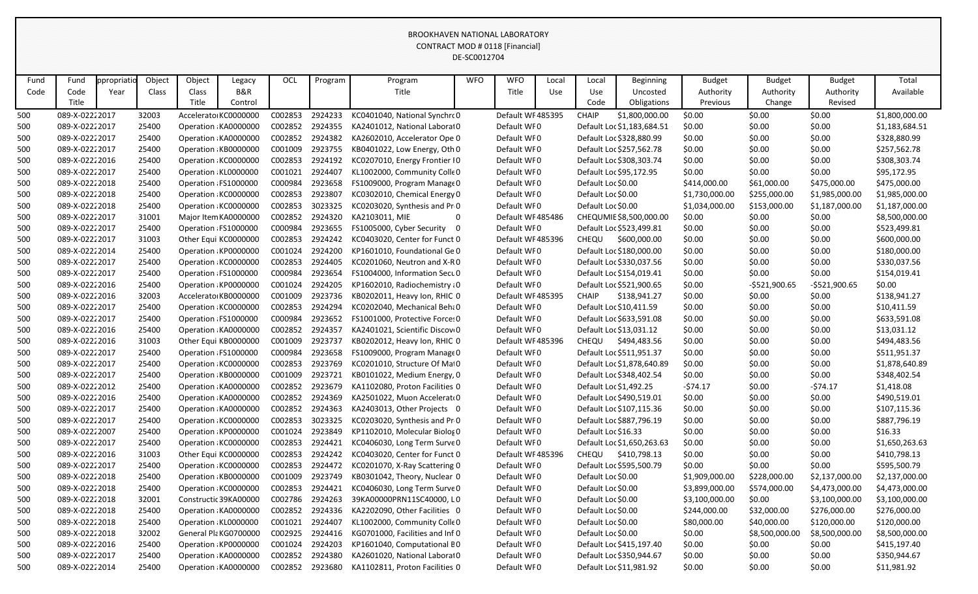|      |                |             |        |        |                       |         |         |                                 | DE-SCOUTZ/04 |                  |       |                        |                            |                |                |                |                |
|------|----------------|-------------|--------|--------|-----------------------|---------|---------|---------------------------------|--------------|------------------|-------|------------------------|----------------------------|----------------|----------------|----------------|----------------|
| Fund | Fund           | ppropriatio | Object | Object | Legacy                | OCL     | Program | Program                         | <b>WFO</b>   | <b>WFO</b>       | Local | Local                  | <b>Beginning</b>           | <b>Budget</b>  | <b>Budget</b>  | <b>Budget</b>  | Total          |
| Code | Code           | Year        | Class  | Class  | B&R                   |         |         | Title                           |              | Title            | Use   | Use                    | Uncosted                   | Authority      | Authority      | Authority      | Available      |
|      | Title          |             |        | Title  | Control               |         |         |                                 |              |                  |       | Code                   | Obligations                | Previous       | Change         | Revised        |                |
| 500  | 089-X-02222017 |             | 32003  |        | Accelerato KC0000000  | C002853 | 2924233 | KC0401040, National Synchro 0   |              | Default WF485395 |       | <b>CHAIP</b>           | \$1,800,000.00             | \$0.00         | \$0.00         | \$0.00         | \$1,800,000.00 |
| 500  | 089-X-02222017 |             | 25400  |        | Operation KA0000000   | C002852 | 2924355 | KA2401012, National Laborat0    |              | Default WF0      |       |                        | Default Loc \$1,183,684.51 | \$0.00         | \$0.00         | \$0.00         | \$1,183,684.51 |
| 500  | 089-X-02222017 |             | 25400  |        | Operation KA0000000   | C002852 | 2924382 | KA2602010, Accelerator Ope 0    |              | Default WF0      |       |                        | Default Loc \$328,880.99   | \$0.00         | \$0.00         | \$0.00         | \$328,880.99   |
| 500  | 089-X-02222017 |             | 25400  |        | Operation KB0000000   | C001009 | 2923755 | KB0401022, Low Energy, Oth 0    |              | Default WF0      |       |                        | Default Loc \$257,562.78   | \$0.00         | \$0.00         | \$0.00         | \$257,562.78   |
| 500  | 089-X-02222016 |             | 25400  |        | Operation KC0000000   | C002853 | 2924192 | KC0207010, Energy Frontier IO   |              | Default WF0      |       |                        | Default Loc \$308,303.74   | \$0.00         | \$0.00         | \$0.00         | \$308,303.74   |
| 500  | 089-X-02222017 |             | 25400  |        | Operation KL0000000   | C001021 | 2924407 | KL1002000, Community Colle 0    |              | Default WF0      |       |                        | Default Loc \$95,172.95    | \$0.00         | \$0.00         | \$0.00         | \$95,172.95    |
| 500  | 089-X-02222018 |             | 25400  |        | Operation FS1000000   | C000984 | 2923658 | FS1009000, Program Manage 0     |              | Default WF0      |       | Default Loc \$0.00     |                            | \$414,000.00   | \$61,000.00    | \$475,000.00   | \$475,000.00   |
| 500  | 089-X-02222018 |             | 25400  |        | Operation KC0000000   | C002853 | 2923807 | KC0302010, Chemical Energy 0    |              | Default WF0      |       | Default Loc \$0.00     |                            | \$1,730,000.00 | \$255,000.00   | \$1,985,000.00 | \$1,985,000.00 |
| 500  | 089-X-02222018 |             | 25400  |        | Operation KC0000000   | C002853 | 3023325 | KC0203020, Synthesis and Pr 0   |              | Default WF0      |       | Default Loc \$0.00     |                            | \$1,034,000.00 | \$153,000.00   | \$1,187,000.00 | \$1,187,000.00 |
| 500  | 089-X-02222017 |             | 31001  |        | Major Item KA0000000  | C002852 | 2924320 | KA2103011, MIE                  | $\mathbf 0$  | Default WF485486 |       |                        | CHEQUMIE \$8,500,000.00    | \$0.00         | \$0.00         | \$0.00         | \$8,500,000.00 |
| 500  | 089-X-02222017 |             | 25400  |        | Operation FS1000000   | C000984 | 2923655 | FS1005000, Cyber Security 0     |              | Default WF0      |       |                        | Default Loc \$523,499.81   | \$0.00         | \$0.00         | \$0.00         | \$523,499.81   |
| 500  | 089-X-02222017 |             | 31003  |        | Other Equi KC0000000  | C002853 | 2924242 | KC0403020, Center for Funct 0   |              | Default WF485396 |       | <b>CHEQU</b>           | \$600,000.00               | \$0.00         | \$0.00         | \$0.00         | \$600,000.00   |
| 500  | 089-X-02222014 |             | 25400  |        | Operation KP0000000   | C001024 | 2924200 | KP1601010, Foundational Ge 0    |              | Default WF0      |       |                        | Default Loc \$180,000.00   | \$0.00         | \$0.00         | \$0.00         | \$180,000.00   |
| 500  | 089-X-02222017 |             | 25400  |        | Operation KC0000000   | C002853 | 2924405 | KC0201060, Neutron and X-RO     |              | Default WF0      |       |                        | Default Loc \$330,037.56   | \$0.00         | \$0.00         | \$0.00         | \$330,037.56   |
| 500  | 089-X-02222017 |             | 25400  |        | Operation FS1000000   | C000984 | 2923654 | FS1004000, Information Secu 0   |              | Default WF0      |       |                        | Default Loc \$154,019.41   | \$0.00         | \$0.00         | \$0.00         | \$154,019.41   |
| 500  | 089-X-02222016 |             | 25400  |        | Operation KP0000000   | C001024 | 2924205 | KP1602010, Radiochemistry a 0   |              | Default WF0      |       |                        | Default Loc \$521,900.65   | \$0.00         | $-5521,900.65$ | $-5521,900.65$ | \$0.00         |
| 500  | 089-X-02222016 |             | 32003  |        | Accelerato KB0000000  | C001009 | 2923736 | KB0202011, Heavy Ion, RHIC 0    |              | Default WF485395 |       | <b>CHAIP</b>           | \$138,941.27               | \$0.00         | \$0.00         | \$0.00         | \$138,941.27   |
| 500  | 089-X-02222017 |             | 25400  |        | Operation KC0000000   | C002853 | 2924294 | KC0202040, Mechanical Beha0     |              | Default WF0      |       |                        | Default Loc \$10,411.59    | \$0.00         | \$0.00         | \$0.00         | \$10,411.59    |
| 500  | 089-X-02222017 |             | 25400  |        | Operation FS1000000   | C000984 | 2923652 | FS1001000, Protective Force: 0  |              | Default WF0      |       |                        | Default Loc \$633,591.08   | \$0.00         | \$0.00         | \$0.00         | \$633,591.08   |
| 500  | 089-X-02222016 |             | 25400  |        | Operation KA0000000   | C002852 | 2924357 | KA2401021, Scientific Discov 0  |              | Default WF0      |       |                        | Default Loc \$13,031.12    | \$0.00         | \$0.00         | \$0.00         | \$13,031.12    |
| 500  | 089-X-02222016 |             | 31003  |        | Other Equi KB0000000  | C001009 | 2923737 | KB0202012, Heavy Ion, RHIC 0    |              | Default WF485396 |       | <b>CHEQU</b>           | \$494,483.56               | \$0.00         | \$0.00         | \$0.00         | \$494,483.56   |
| 500  | 089-X-02222017 |             | 25400  |        | Operation FS1000000   | C000984 | 2923658 | FS1009000, Program Manage 0     |              | Default WF0      |       |                        | Default Loc \$511,951.37   | \$0.00         | \$0.00         | \$0.00         | \$511,951.37   |
| 500  | 089-X-02222017 |             | 25400  |        | Operation KC0000000   | C002853 | 2923769 | KC0201010, Structure Of Mai0    |              | Default WF0      |       |                        | Default Loc \$1,878,640.89 | \$0.00         | \$0.00         | \$0.00         | \$1,878,640.89 |
| 500  | 089-X-02222017 |             | 25400  |        | Operation KB0000000   | C001009 | 2923721 | KB0101022, Medium Energy, 0     |              | Default WF0      |       |                        | Default Loc \$348,402.54   | \$0.00         | \$0.00         | \$0.00         | \$348,402.54   |
| 500  | 089-X-02222012 |             | 25400  |        | Operation KA0000000   | C002852 | 2923679 | KA1102080, Proton Facilities 0  |              | Default WF0      |       | Default Loc \$1,492.25 |                            | $-574.17$      | \$0.00         | $-574.17$      | \$1,418.08     |
| 500  | 089-X-02222016 |             | 25400  |        | Operation KA0000000   | C002852 | 2924369 | KA2501022, Muon Accelerato0     |              | Default WF0      |       |                        | Default Loc \$490,519.01   | \$0.00         | \$0.00         | \$0.00         | \$490,519.01   |
| 500  | 089-X-02222017 |             | 25400  |        | Operation KA0000000   | C002852 | 2924363 | KA2403013, Other Projects 0     |              | Default WF0      |       |                        | Default Loc \$107,115.36   | \$0.00         | \$0.00         | \$0.00         | \$107,115.36   |
| 500  | 089-X-02222017 |             | 25400  |        | Operation KC0000000   | C002853 | 3023325 | KC0203020, Synthesis and Pr 0   |              | Default WF0      |       |                        | Default Loc \$887,796.19   | \$0.00         | \$0.00         | \$0.00         | \$887,796.19   |
| 500  | 089-X-02222007 |             | 25400  |        | Operation KP0000000   | C001024 | 2923849 | KP1102010, Molecular Biolog 0   |              | Default WF0      |       | Default Loc \$16.33    |                            | \$0.00         | \$0.00         | \$0.00         | \$16.33        |
| 500  | 089-X-02222017 |             | 25400  |        | Operation KC0000000   | C002853 | 2924421 | KC0406030, Long Term Surve 0    |              | Default WF0      |       |                        | Default Loc \$1,650,263.63 | \$0.00         | \$0.00         | \$0.00         | \$1,650,263.63 |
| 500  | 089-X-02222016 |             | 31003  |        | Other Equi KC0000000  | C002853 | 2924242 | KC0403020, Center for Funct 0   |              | Default WF485396 |       |                        | CHEQU \$410,798.13         | \$0.00         | \$0.00         | \$0.00         | \$410,798.13   |
| 500  | 089-X-02222017 |             | 25400  |        | Operation KC0000000   | C002853 | 2924472 | KC0201070, X-Ray Scattering 0   |              | Default WF0      |       |                        | Default Loc \$595,500.79   | \$0.00         | \$0.00         | \$0.00         | \$595,500.79   |
| 500  | 089-X-02222018 |             | 25400  |        | Operation KB0000000   | C001009 | 2923749 | KB0301042, Theory, Nuclear 0    |              | Default WF0      |       | Default Loc \$0.00     |                            | \$1,909,000.00 | \$228,000.00   | \$2,137,000.00 | \$2,137,000.00 |
| 500  | 089-X-02222018 |             | 25400  |        | Operation KC0000000   | C002853 | 2924421 | KC0406030, Long Term Surve 0    |              | Default WF0      |       | Default Loc \$0.00     |                            | \$3,899,000.00 | \$574,000.00   | \$4,473,000.00 | \$4,473,000.00 |
| 500  | 089-X-02222018 |             | 32001  |        | Constructic 39KA00000 | C002786 | 2924263 | 39KA00000PRN11SC40000, LO       |              | Default WF0      |       | Default Loc \$0.00     |                            | \$3,100,000.00 | \$0.00         | \$3,100,000.00 | \$3,100,000.00 |
| 500  | 089-X-02222018 |             | 25400  |        | Operation KA0000000   | C002852 | 2924336 | KA2202090, Other Facilities 0   |              | Default WF0      |       | Default Loc \$0.00     |                            | \$244,000.00   | \$32,000.00    | \$276,000.00   | \$276,000.00   |
| 500  | 089-X-02222018 |             | 25400  |        | Operation KL0000000   | C001021 | 2924407 | KL1002000, Community Colle 0    |              | Default WF0      |       | Default Loc \$0.00     |                            | \$80,000.00    | \$40,000.00    | \$120,000.00   | \$120,000.00   |
| 500  | 089-X-02222018 |             | 32002  |        | General Pla KG0700000 | C002925 | 2924416 | KG0701000, Facilities and Inf 0 |              | Default WF0      |       | Default Loc \$0.00     |                            | \$0.00         | \$8,500,000.00 | \$8,500,000.00 | \$8,500,000.00 |
| 500  | 089-X-02222016 |             | 25400  |        | Operation KP0000000   | C001024 | 2924203 | KP1601040, Computational BO     |              | Default WF0      |       |                        | Default Loc \$415,197.40   | \$0.00         | \$0.00         | \$0.00         | \$415,197.40   |
| 500  | 089-X-02222017 |             | 25400  |        | Operation KA0000000   | C002852 | 2924380 | KA2601020, National Laborat0    |              | Default WF0      |       |                        | Default Loc \$350,944.67   | \$0.00         | \$0.00         | \$0.00         | \$350,944.67   |
| 500  | 089-X-02222014 |             | 25400  |        | Operation KA0000000   | C002852 | 2923680 | KA1102811, Proton Facilities 0  |              | Default WF0      |       |                        | Default Loc \$11,981.92    | \$0.00         | \$0.00         | \$0.00         | \$11,981.92    |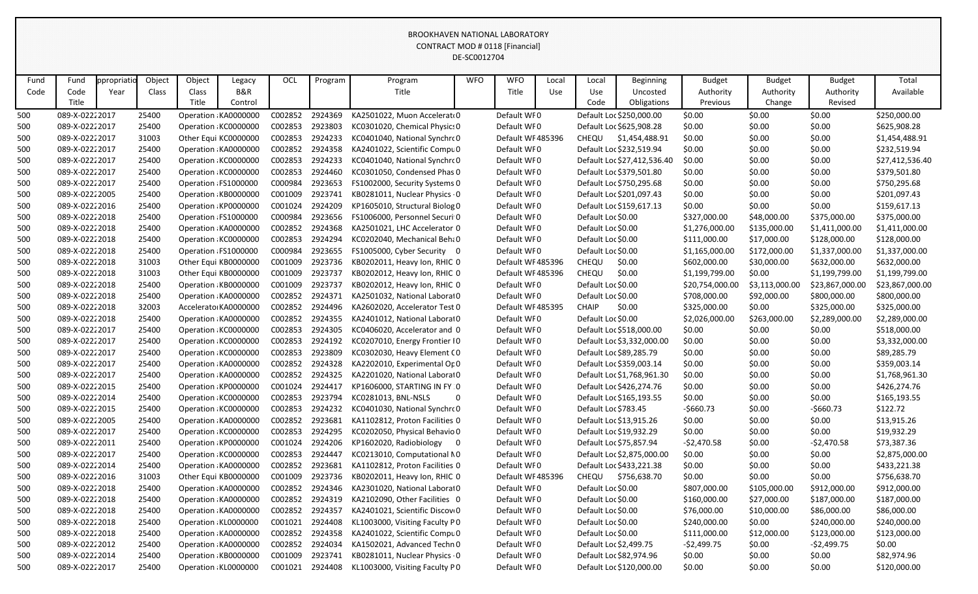|      |                |             |        |        |                      |         |         |                                 | DE-SCOUTZ704 |                  |       |                        |                             |                 |                |                 |                 |
|------|----------------|-------------|--------|--------|----------------------|---------|---------|---------------------------------|--------------|------------------|-------|------------------------|-----------------------------|-----------------|----------------|-----------------|-----------------|
| Fund | Fund           | ppropriatio | Object | Object | Legacy               | OCL     | Program | Program                         | <b>WFO</b>   | <b>WFO</b>       | Local | Local                  | <b>Beginning</b>            | <b>Budget</b>   | <b>Budget</b>  | <b>Budget</b>   | Total           |
| Code | Code           | Year        | Class  | Class  | <b>B&amp;R</b>       |         |         | Title                           |              | Title            | Use   | Use                    | Uncosted                    | Authority       | Authority      | Authority       | Available       |
|      | Title          |             |        | Title  | Control              |         |         |                                 |              |                  |       | Code                   | Obligations                 | Previous        | Change         | Revised         |                 |
| 500  | 089-X-02222017 |             | 25400  |        | Operation KA0000000  | C002852 | 2924369 | KA2501022, Muon Accelerato0     |              | Default WF0      |       |                        | Default Loc \$250,000.00    | \$0.00          | \$0.00         | \$0.00          | \$250,000.00    |
| 500  | 089-X-02222017 |             | 25400  |        | Operation KC0000000  | C002853 | 2923803 | KC0301020, Chemical Physics 0   |              | Default WF0      |       |                        | Default Loc \$625,908.28    | \$0.00          | \$0.00         | \$0.00          | \$625,908.28    |
| 500  | 089-X-02222017 |             | 31003  |        | Other Equi KC0000000 | C002853 | 2924233 | KC0401040, National Synchro 0   |              | Default WF485396 |       | CHEQU                  | \$1,454,488.91              | \$0.00          | \$0.00         | \$0.00          | \$1,454,488.91  |
| 500  | 089-X-02222017 |             | 25400  |        | Operation KA0000000  | C002852 | 2924358 | KA2401022, Scientific Compu 0   |              | Default WF0      |       |                        | Default Loc \$232,519.94    | \$0.00          | \$0.00         | \$0.00          | \$232,519.94    |
| 500  | 089-X-02222017 |             | 25400  |        | Operation KC0000000  | C002853 | 2924233 | KC0401040, National Synchro 0   |              | Default WF0      |       |                        | Default Loc \$27,412,536.40 | \$0.00          | \$0.00         | \$0.00          | \$27,412,536.40 |
| 500  | 089-X-02222017 |             | 25400  |        | Operation KC0000000  | C002853 | 2924460 | KC0301050, Condensed Phas 0     |              | Default WF0      |       |                        | Default Loc \$379,501.80    | \$0.00          | \$0.00         | \$0.00          | \$379,501.80    |
| 500  | 089-X-02222017 |             | 25400  |        | Operation FS1000000  | C000984 | 2923653 | FS1002000, Security Systems 0   |              | Default WF0      |       |                        | Default Loc \$750,295.68    | \$0.00          | \$0.00         | \$0.00          | \$750,295.68    |
| 500  | 089-X-02222005 |             | 25400  |        | Operation KB0000000  | C001009 | 2923741 | KB0281011, Nuclear Physics 0    |              | Default WF0      |       |                        | Default Loc \$201,097.43    | \$0.00          | \$0.00         | \$0.00          | \$201,097.43    |
| 500  | 089-X-02222016 |             | 25400  |        | Operation KP0000000  | C001024 | 2924209 | KP1605010, Structural Biolog 0  |              | Default WF0      |       |                        | Default Loc \$159,617.13    | \$0.00          | \$0.00         | \$0.00          | \$159,617.13    |
| 500  | 089-X-02222018 |             | 25400  |        | Operation FS1000000  | C000984 | 2923656 | FS1006000, Personnel Securi 0   |              | Default WF0      |       | Default Loc \$0.00     |                             | \$327,000.00    | \$48,000.00    | \$375,000.00    | \$375,000.00    |
| 500  | 089-X-02222018 |             | 25400  |        | Operation KA0000000  | C002852 | 2924368 | KA2501021, LHC Accelerator 0    |              | Default WF0      |       | Default Loc \$0.00     |                             | \$1,276,000.00  | \$135,000.00   | \$1,411,000.00  | \$1,411,000.00  |
| 500  | 089-X-02222018 |             | 25400  |        | Operation KC0000000  | C002853 | 2924294 | KC0202040, Mechanical Beha 0    |              | Default WF0      |       | Default Loc \$0.00     |                             | \$111,000.00    | \$17,000.00    | \$128,000.00    | \$128,000.00    |
| 500  | 089-X-02222018 |             | 25400  |        | Operation FS1000000  | C000984 | 2923655 | FS1005000, Cyber Security 0     |              | Default WF0      |       | Default Loc \$0.00     |                             | \$1,165,000.00  | \$172,000.00   | \$1,337,000.00  | \$1,337,000.00  |
| 500  | 089-X-02222018 |             | 31003  |        | Other Equi KB0000000 | C001009 | 2923736 | KB0202011, Heavy Ion, RHIC 0    |              | Default WF485396 |       | CHEQU                  | \$0.00                      | \$602,000.00    | \$30,000.00    | \$632,000.00    | \$632,000.00    |
| 500  | 089-X-02222018 |             | 31003  |        | Other Equi KB0000000 | C001009 | 2923737 | KB0202012, Heavy Ion, RHIC 0    |              | Default WF485396 |       | CHEQU                  | \$0.00                      | \$1,199,799.00  | \$0.00         | \$1,199,799.00  | \$1,199,799.00  |
| 500  | 089-X-02222018 |             | 25400  |        | Operation KB0000000  | C001009 | 2923737 | KB0202012, Heavy Ion, RHIC 0    |              | Default WF0      |       | Default Loc \$0.00     |                             | \$20,754,000.00 | \$3,113,000.00 | \$23,867,000.00 | \$23,867,000.00 |
| 500  | 089-X-02222018 |             | 25400  |        | Operation KA0000000  | C002852 | 2924371 | KA2501032, National Laborat0    |              | Default WF0      |       | Default Loc \$0.00     |                             | \$708,000.00    | \$92,000.00    | \$800,000.00    | \$800,000.00    |
| 500  | 089-X-02222018 |             | 32003  |        | Accelerato KA0000000 | C002852 | 2924496 | KA2602020, Accelerator Test 0   |              | Default WF485395 |       | <b>CHAIP</b>           | \$0.00                      | \$325,000.00    | \$0.00         | \$325,000.00    | \$325,000.00    |
| 500  | 089-X-02222018 |             | 25400  |        | Operation KA0000000  | C002852 | 2924355 | KA2401012, National Laborat0    |              | Default WF0      |       | Default Loc \$0.00     |                             | \$2,026,000.00  | \$263,000.00   | \$2,289,000.00  | \$2,289,000.00  |
| 500  | 089-X-02222017 |             | 25400  |        | Operation KC0000000  | C002853 | 2924305 | KC0406020, Accelerator and 0    |              | Default WF0      |       |                        | Default Loc \$518,000.00    | \$0.00          | \$0.00         | \$0.00          | \$518,000.00    |
| 500  | 089-X-02222017 |             | 25400  |        | Operation KC0000000  | C002853 | 2924192 | KC0207010, Energy Frontier IO   |              | Default WF0      |       |                        | Default Loc \$3,332,000.00  | \$0.00          | \$0.00         | \$0.00          | \$3,332,000.00  |
| 500  | 089-X-02222017 |             | 25400  |        | Operation KC0000000  | C002853 | 2923809 | KC0302030, Heavy Element CO     |              | Default WF0      |       |                        | Default Loc \$89,285.79     | \$0.00          | \$0.00         | \$0.00          | \$89,285.79     |
| 500  | 089-X-02222017 |             | 25400  |        | Operation KA0000000  | C002852 | 2924328 | KA2202010, Experimental Or 0    |              | Default WF0      |       |                        | Default Loc \$359,003.14    | \$0.00          | \$0.00         | \$0.00          | \$359,003.14    |
| 500  | 089-X-02222017 |             | 25400  |        | Operation KA0000000  | C002852 | 2924325 | KA2201020, National Laborat0    |              | Default WF0      |       |                        | Default Loc \$1,768,961.30  | \$0.00          | \$0.00         | \$0.00          | \$1,768,961.30  |
| 500  | 089-X-02222015 |             | 25400  |        | Operation KP0000000  | C001024 | 2924417 | KP1606000, STARTING IN FY 0     |              | Default WF0      |       |                        | Default Loc \$426,274.76    | \$0.00          | \$0.00         | \$0.00          | \$426,274.76    |
| 500  | 089-X-02222014 |             | 25400  |        | Operation KC0000000  | C002853 | 2923794 | KC0281013, BNL-NSLS             | 0            | Default WF0      |       |                        | Default Loc \$165,193.55    | \$0.00          | \$0.00         | \$0.00          | \$165,193.55    |
| 500  | 089-X-02222015 |             | 25400  |        | Operation KC0000000  | C002853 | 2924232 | KC0401030, National Synchro 0   |              | Default WF0      |       | Default Loc \$783.45   |                             | $-$660.73$      | \$0.00         | $-$660.73$      | \$122.72        |
| 500  | 089-X-02222005 |             | 25400  |        | Operation KA0000000  | C002852 | 2923681 | KA1102812, Proton Facilities 0  |              | Default WFO      |       |                        | Default Loc \$13,915.26     | \$0.00          | \$0.00         | \$0.00          | \$13,915.26     |
| 500  | 089-X-02222017 |             | 25400  |        | Operation KC0000000  | C002853 | 2924295 | KC0202050, Physical Behavio 0   |              | Default WF0      |       |                        | Default Loc \$19,932.29     | \$0.00          | \$0.00         | \$0.00          | \$19,932.29     |
| 500  | 089-X-02222011 |             | 25400  |        | Operation KP0000000  | C001024 | 2924206 | KP1602020, Radiobiology 0       |              | Default WF0      |       |                        | Default Loc \$75,857.94     | $-52,470.58$    | \$0.00         | $-52,470.58$    | \$73,387.36     |
| 500  | 089-X-02222017 |             | 25400  |        | Operation KC0000000  | C002853 | 2924447 | KC0213010, Computational NO     |              | Default WF0      |       |                        | Default Loc \$2,875,000.00  | \$0.00          | \$0.00         | \$0.00          | \$2,875,000.00  |
| 500  | 089-X-02222014 |             | 25400  |        | Operation KA0000000  | C002852 | 2923681 | KA1102812, Proton Facilities 0  |              | Default WF0      |       |                        | Default Loc \$433,221.38    | \$0.00          | \$0.00         | \$0.00          | \$433,221.38    |
| 500  | 089-X-02222016 |             | 31003  |        | Other Equi KB0000000 | C001009 | 2923736 | KB0202011, Heavy Ion, RHIC 0    |              | Default WF485396 |       |                        | CHEQU \$756,638.70          | \$0.00          | \$0.00         | \$0.00          | \$756,638.70    |
| 500  | 089-X-02222018 |             | 25400  |        | Operation KA0000000  | C002852 | 2924346 | KA2301020, National Laborat0    |              | Default WF0      |       | Default Loc \$0.00     |                             | \$807,000.00    | \$105,000.00   | \$912,000.00    | \$912,000.00    |
| 500  | 089-X-02222018 |             | 25400  |        | Operation KA0000000  | C002852 | 2924319 | KA2102090, Other Facilities 0   |              | Default WF0      |       | Default Loc \$0.00     |                             | \$160,000.00    | \$27,000.00    | \$187,000.00    | \$187,000.00    |
| 500  | 089-X-02222018 |             | 25400  |        | Operation KA0000000  | C002852 | 2924357 | KA2401021, Scientific Discovi 0 |              | Default WF0      |       | Default Loc \$0.00     |                             | \$76,000.00     | \$10,000.00    | \$86,000.00     | \$86,000.00     |
| 500  | 089-X-02222018 |             | 25400  |        | Operation KL0000000  | C001021 | 2924408 | KL1003000, Visiting Faculty P0  |              | Default WF0      |       | Default Loc \$0.00     |                             | \$240,000.00    | \$0.00         | \$240,000.00    | \$240,000.00    |
| 500  | 089-X-02222018 |             | 25400  |        | Operation KA0000000  | C002852 | 2924358 | KA2401022, Scientific Compu0    |              | Default WF0      |       | Default Loc \$0.00     |                             | \$111,000.00    | \$12,000.00    | \$123,000.00    | \$123,000.00    |
| 500  | 089-X-02222012 |             | 25400  |        | Operation KA0000000  | C002852 | 2924034 | KA1502021, Advanced Techn 0     |              | Default WF0      |       | Default Loc \$2,499.75 |                             | -\$2,499.75     | \$0.00         | $-52,499.75$    | \$0.00          |
| 500  | 089-X-02222014 |             | 25400  |        | Operation KB0000000  | C001009 | 2923741 | KB0281011, Nuclear Physics 0    |              | Default WF0      |       |                        | Default Loc \$82,974.96     | \$0.00          | \$0.00         | \$0.00          | \$82,974.96     |
| 500  | 089-X-02222017 |             | 25400  |        | Operation KL0000000  | C001021 | 2924408 | KL1003000, Visiting Faculty PO  |              | Default WF0      |       |                        | Default Loc \$120,000.00    | \$0.00          | \$0.00         | \$0.00          | \$120,000.00    |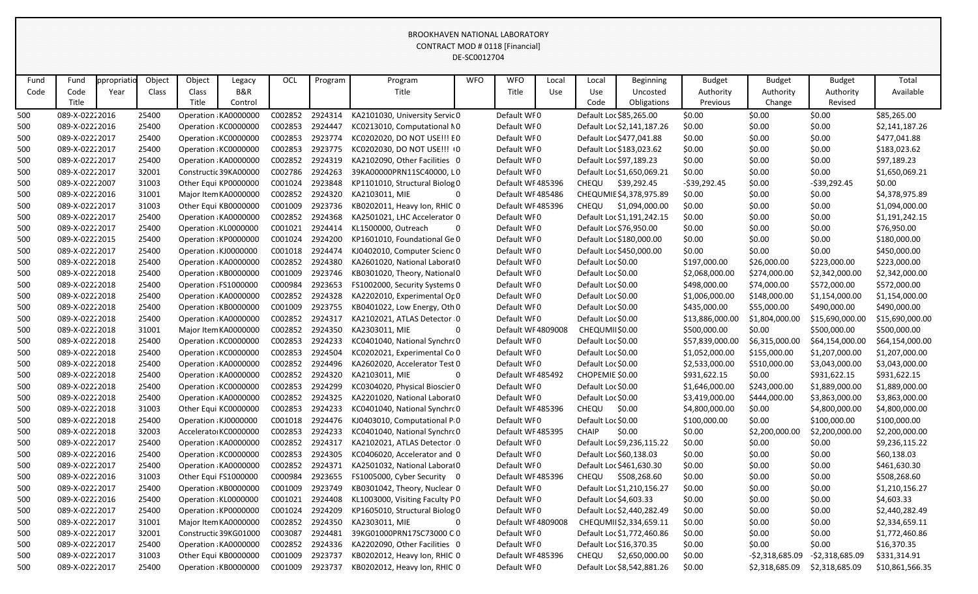|      |                |            |        |                      |                       |         |         |                                | DE-SCOUTZ704 |                    |       |                    |                            |                 |                 |                 |                 |
|------|----------------|------------|--------|----------------------|-----------------------|---------|---------|--------------------------------|--------------|--------------------|-------|--------------------|----------------------------|-----------------|-----------------|-----------------|-----------------|
| Fund | Fund           | ppropriati | Object | Object               | Legacy                | OCL     | Program | Program                        | <b>WFO</b>   | <b>WFO</b>         | Local | Local              | <b>Beginning</b>           | <b>Budget</b>   | <b>Budget</b>   | <b>Budget</b>   | Total           |
| Code | Code           | Year       | Class  | Class                | B&R                   |         |         | Title                          |              | <b>Title</b>       | Use   | Use                | Uncosted                   | Authority       | Authority       | Authority       | Available       |
|      | Title          |            |        | Title                | Control               |         |         |                                |              |                    |       | Code               | Obligations                | Previous        | Change          | Revised         |                 |
| 500  | 089-X-02222016 |            | 25400  |                      | Operation KA0000000   | C002852 | 2924314 | KA2101030, University Servic 0 |              | Default WF0        |       |                    | Default Loc \$85,265.00    | \$0.00          | \$0.00          | \$0.00          | \$85,265.00     |
| 500  | 089-X-02222016 |            | 25400  | Operation KC0000000  |                       | C002853 | 2924447 | KC0213010, Computational NO    |              | Default WF0        |       |                    | Default Loc \$2,141,187.26 | \$0.00          | \$0.00          | \$0.00          | \$2,141,187.26  |
| 500  | 089-X-02222017 |            | 25400  | Operation KC0000000  |                       | C002853 | 2923774 | KC0202020, DO NOT USE!!! E0    |              | Default WF0        |       |                    | Default Loc \$477,041.88   | \$0.00          | \$0.00          | \$0.00          | \$477,041.88    |
| 500  | 089-X-02222017 |            | 25400  |                      | Operation KC0000000   | C002853 | 2923775 | KC0202030, DO NOT USE !!! 0    |              | Default WF0        |       |                    | Default Loc \$183,023.62   | \$0.00          | \$0.00          | \$0.00          | \$183,023.62    |
| 500  | 089-X-02222017 |            | 25400  |                      | Operation KA0000000   | C002852 | 2924319 | KA2102090, Other Facilities 0  |              | Default WF0        |       |                    | Default Loc \$97,189.23    | \$0.00          | \$0.00          | \$0.00          | \$97,189.23     |
| 500  | 089-X-02222017 |            | 32001  |                      | Constructic 39KA00000 | C002786 | 2924263 | 39KA00000PRN11SC40000, LO      |              | Default WF0        |       |                    | Default Loc \$1,650,069.21 | \$0.00          | \$0.00          | \$0.00          | \$1,650,069.21  |
| 500  | 089-X-02222007 |            | 31003  | Other Equi KP0000000 |                       | C001024 | 2923848 | KP1101010, Structural Biolog 0 |              | Default WF 485396  |       | CHEQU              | \$39,292.45                | $-539,292.45$   | \$0.00          | $-539,292.45$   | \$0.00          |
| 500  | 089-X-02222016 |            | 31001  |                      | Major Item KA0000000  | C002852 | 2924320 | KA2103011, MIE                 | $\Omega$     | Default WF485486   |       |                    | CHEQUMIE \$4,378,975.89    | \$0.00          | \$0.00          | \$0.00          | \$4,378,975.89  |
| 500  | 089-X-02222017 |            | 31003  |                      | Other Equi KB0000000  | C001009 | 2923736 | KB0202011, Heavy Ion, RHIC 0   |              | Default WF485396   |       | CHEQU              | \$1,094,000.00             | \$0.00          | \$0.00          | \$0.00          | \$1,094,000.00  |
| 500  | 089-X-02222017 |            | 25400  |                      | Operation KA0000000   | C002852 | 2924368 | KA2501021, LHC Accelerator 0   |              | Default WF0        |       |                    | Default Loc \$1,191,242.15 | \$0.00          | \$0.00          | \$0.00          | \$1,191,242.15  |
| 500  | 089-X-02222017 |            | 25400  | Operation KL0000000  |                       | C001021 | 2924414 | KL1500000, Outreach            |              | Default WF0        |       |                    | Default Loc \$76,950.00    | \$0.00          | \$0.00          | \$0.00          | \$76,950.00     |
| 500  | 089-X-02222015 |            | 25400  |                      | Operation KP0000000   | C001024 | 2924200 | KP1601010, Foundational Ge 0   |              | Default WF0        |       |                    | Default Loc \$180,000.00   | \$0.00          | \$0.00          | \$0.00          | \$180,000.00    |
| 500  | 089-X-02222017 |            | 25400  | Operation KJ0000000  |                       | C001018 | 2924474 | KJ0402010, Computer Scienc 0   |              | Default WF0        |       |                    | Default Loc \$450,000.00   | \$0.00          | \$0.00          | \$0.00          | \$450,000.00    |
| 500  | 089-X-02222018 |            | 25400  |                      | Operation KA0000000   | C002852 | 2924380 | KA2601020, National Laborat0   |              | Default WF0        |       | Default Loc \$0.00 |                            | \$197,000.00    | \$26,000.00     | \$223,000.00    | \$223,000.00    |
| 500  | 089-X-02222018 |            | 25400  |                      | Operation KB0000000   | C001009 | 2923746 | KB0301020, Theory, National 0  |              | Default WF0        |       | Default Loc \$0.00 |                            | \$2,068,000.00  | \$274,000.00    | \$2,342,000.00  | \$2,342,000.00  |
| 500  | 089-X-02222018 |            | 25400  | Operation FS1000000  |                       | C000984 | 2923653 | FS1002000, Security Systems 0  |              | Default WF0        |       | Default Loc \$0.00 |                            | \$498,000.00    | \$74,000.00     | \$572,000.00    | \$572,000.00    |
| 500  | 089-X-02222018 |            | 25400  |                      | Operation KA0000000   | C002852 | 2924328 | KA2202010, Experimental Or 0   |              | Default WF0        |       | Default Loc \$0.00 |                            | \$1,006,000.00  | \$148,000.00    | \$1,154,000.00  | \$1,154,000.00  |
| 500  | 089-X-02222018 |            | 25400  |                      | Operation KB0000000   | C001009 | 2923755 | KB0401022, Low Energy, Oth 0   |              | Default WF0        |       | Default Loc \$0.00 |                            | \$435,000.00    | \$55,000.00     | \$490,000.00    | \$490,000.00    |
| 500  | 089-X-02222018 |            | 25400  |                      | Operation KA0000000   | C002852 | 2924317 | KA2102021, ATLAS Detector 0    |              | Default WF0        |       | Default Loc \$0.00 |                            | \$13,886,000.00 | \$1,804,000.00  | \$15,690,000.00 | \$15,690,000.00 |
| 500  | 089-X-02222018 |            | 31001  |                      | Major Item KA0000000  | C002852 | 2924350 | KA2303011, MIE                 |              | Default WF 4809008 |       | CHEQUMII\$0.00     |                            | \$500,000.00    | \$0.00          | \$500,000.00    | \$500,000.00    |
| 500  | 089-X-02222018 |            | 25400  |                      | Operation KC0000000   | C002853 | 2924233 | KC0401040, National Synchro 0  |              | Default WF0        |       | Default Loc \$0.00 |                            | \$57,839,000.00 | \$6,315,000.00  | \$64,154,000.00 | \$64,154,000.00 |
| 500  | 089-X-02222018 |            | 25400  |                      | Operation KC0000000   | C002853 | 2924504 | KC0202021, Experimental Co 0   |              | Default WF0        |       | Default Loc \$0.00 |                            | \$1,052,000.00  | \$155,000.00    | \$1,207,000.00  | \$1,207,000.00  |
| 500  | 089-X-02222018 |            | 25400  |                      | Operation KA0000000   | C002852 | 2924496 | KA2602020, Accelerator Test 0  |              | Default WF0        |       | Default Loc \$0.00 |                            | \$2,533,000.00  | \$510,000.00    | \$3,043,000.00  | \$3,043,000.00  |
| 500  | 089-X-02222018 |            | 25400  |                      | Operation KA0000000   | C002852 | 2924320 | KA2103011, MIE                 | 0            | Default WF485492   |       | CHOPEMIE \$0.00    |                            | \$931,622.15    | \$0.00          | \$931,622.15    | \$931,622.15    |
| 500  | 089-X-02222018 |            | 25400  | Operation KC0000000  |                       | C002853 | 2924299 | KC0304020, Physical Bioscier 0 |              | Default WF0        |       | Default Loc \$0.00 |                            | \$1,646,000.00  | \$243,000.00    | \$1,889,000.00  | \$1,889,000.00  |
| 500  | 089-X-02222018 |            | 25400  |                      | Operation KA0000000   | C002852 | 2924325 | KA2201020, National Laborat0   |              | Default WF0        |       | Default Loc \$0.00 |                            | \$3,419,000.00  | \$444,000.00    | \$3,863,000.00  | \$3,863,000.00  |
| 500  | 089-X-02222018 |            | 31003  |                      | Other Equi KC0000000  | C002853 | 2924233 | KC0401040, National Synchro 0  |              | Default WF485396   |       | CHEQU              | \$0.00                     | \$4,800,000.00  | \$0.00          | \$4,800,000.00  | \$4,800,000.00  |
| 500  | 089-X-02222018 |            | 25400  | Operation KJ0000000  |                       | C001018 | 2924476 | KJ0403010, Computational P.0   |              | Default WF0        |       | Default Loc \$0.00 |                            | \$100,000.00    | \$0.00          | \$100,000.00    | \$100,000.00    |
| 500  | 089-X-02222018 |            | 32003  |                      | Accelerato KC0000000  | C002853 | 2924233 | KC0401040, National Synchro 0  |              | Default WF485395   |       | <b>CHAIP</b>       | \$0.00                     | \$0.00          | \$2,200,000.00  | \$2,200,000.00  | \$2,200,000.00  |
| 500  | 089-X-02222017 |            | 25400  |                      | Operation KA0000000   | C002852 | 2924317 | KA2102021, ATLAS Detector 0    |              | Default WF0        |       |                    | Default Loc \$9,236,115.22 | \$0.00          | \$0.00          | \$0.00          | \$9,236,115.22  |
| 500  | 089-X-02222016 |            | 25400  |                      | Operation KC0000000   | C002853 | 2924305 | KC0406020, Accelerator and 0   |              | Default WF0        |       |                    | Default Loc \$60,138.03    | \$0.00          | \$0.00          | \$0.00          | \$60,138.03     |
| 500  | 089-X-02222017 |            | 25400  |                      | Operation KA0000000   | C002852 | 2924371 | KA2501032, National Laborat0   |              | Default WF0        |       |                    | Default Loc \$461,630.30   | \$0.00          | \$0.00          | \$0.00          | \$461,630.30    |
| 500  | 089-X-02222016 |            | 31003  | Other Equi FS1000000 |                       | C000984 | 2923655 | FS1005000, Cyber Security 0    |              | Default WF485396   |       | CHEQU              | \$508,268.60               | \$0.00          | \$0.00          | \$0.00          | \$508,268.60    |
| 500  | 089-X-02222017 |            | 25400  |                      | Operation KB0000000   | C001009 | 2923749 | KB0301042, Theory, Nuclear 0   |              | Default WF0        |       |                    | Default Loc \$1,210,156.27 | \$0.00          | \$0.00          | \$0.00          | \$1,210,156.27  |
| 500  | 089-X-02222016 |            | 25400  | Operation KL0000000  |                       | C001021 | 2924408 | KL1003000, Visiting Faculty P0 |              | Default WF0        |       |                    | Default Loc \$4,603.33     | \$0.00          | \$0.00          | \$0.00          | \$4,603.33      |
| 500  | 089-X-02222017 |            | 25400  | Operation KP0000000  |                       | C001024 | 2924209 | KP1605010, Structural Biolog 0 |              | Default WF0        |       |                    | Default Loc \$2,440,282.49 | \$0.00          | \$0.00          | \$0.00          | \$2,440,282.49  |
| 500  | 089-X-02222017 |            | 31001  |                      | Major Item KA0000000  | C002852 | 2924350 | KA2303011, MIE                 |              | Default WF4809008  |       |                    | CHEQUMII\$2,334,659.11     | \$0.00          | \$0.00          | \$0.00          | \$2,334,659.11  |
| 500  | 089-X-02222017 |            | 32001  |                      | Constructic 39KG01000 | C003087 | 2924481 | 39KG01000PRN17SC73000 C 0      |              | Default WF0        |       |                    | Default Loc \$1,772,460.86 | \$0.00          | \$0.00          | \$0.00          | \$1,772,460.86  |
| 500  | 089-X-02222017 |            | 25400  |                      | Operation KA0000000   | C002852 | 2924336 | KA2202090, Other Facilities 0  |              | Default WF0        |       |                    | Default Loc \$16,370.35    | \$0.00          | \$0.00          | \$0.00          | \$16,370.35     |
| 500  | 089-X-02222017 |            | 31003  |                      | Other Equi KB0000000  | C001009 | 2923737 | KB0202012, Heavy Ion, RHIC 0   |              | Default WF485396   |       | <b>CHEQU</b>       | \$2,650,000.00             | \$0.00          | -\$2,318,685.09 | -\$2,318,685.09 | \$331,314.91    |
| 500  | 089-X-02222017 |            | 25400  |                      | Operation KB0000000   | C001009 | 2923737 | KB0202012, Heavy Ion, RHIC 0   |              | Default WF0        |       |                    | Default Loc \$8,542,881.26 | \$0.00          | \$2,318,685.09  | \$2,318,685.09  | \$10,861,566.35 |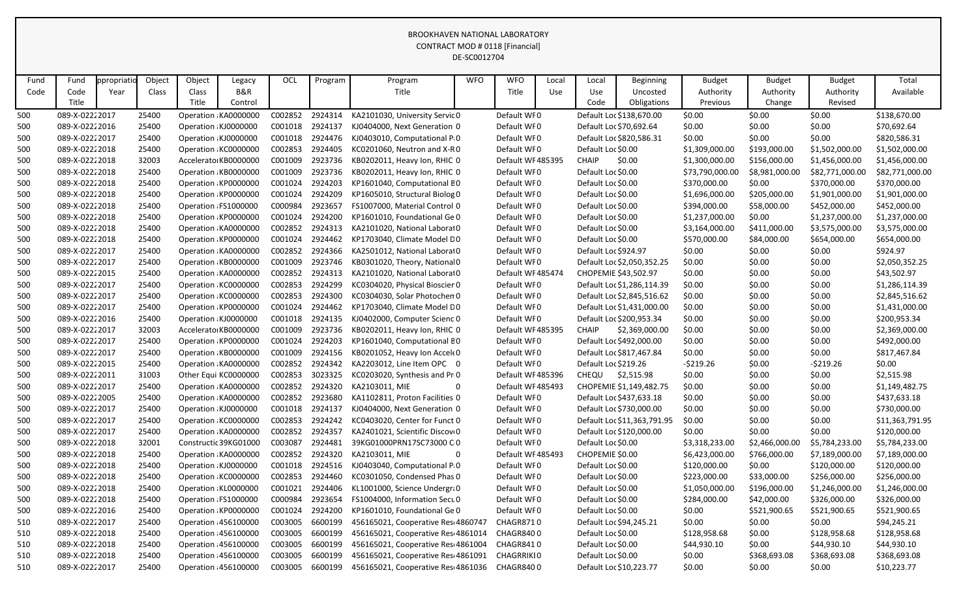|      |                |            |        |        |                       |         |         |                                    | DE-SC0012704 |                   |       |                         |                             |                 |                |                 |                 |
|------|----------------|------------|--------|--------|-----------------------|---------|---------|------------------------------------|--------------|-------------------|-------|-------------------------|-----------------------------|-----------------|----------------|-----------------|-----------------|
| Fund | Fund           | ppropriati | Object | Object | Legacy                | OCL     | Program | Program                            | <b>WFO</b>   | <b>WFO</b>        | Local | Local                   | Beginning                   | <b>Budget</b>   | <b>Budget</b>  | <b>Budget</b>   | Total           |
| Code | Code           | Year       | Class  | Class  | <b>B&amp;R</b>        |         |         | Title                              |              | Title             | Use   | Use                     | Uncosted                    | Authority       | Authority      | Authority       | Available       |
|      | Title          |            |        | Title  | Control               |         |         |                                    |              |                   |       | Code                    | Obligations                 | Previous        | Change         | Revised         |                 |
| 500  | 089-X-02222017 |            | 25400  |        | Operation KA0000000   | C002852 | 2924314 | KA2101030, University Servic 0     |              | Default WF0       |       |                         | Default Loc \$138,670.00    | \$0.00          | \$0.00         | \$0.00          | \$138,670.00    |
| 500  | 089-X-02222016 |            | 25400  |        | Operation KJ0000000   | C001018 | 2924137 | KJ0404000, Next Generation 0       |              | Default WF0       |       | Default Loc \$70,692.64 |                             | \$0.00          | \$0.00         | \$0.00          | \$70,692.64     |
| 500  | 089-X-02222017 |            | 25400  |        | Operation KJ0000000   | C001018 | 2924476 | KJ0403010, Computational P.0       |              | Default WF0       |       |                         | Default Loc \$820,586.31    | \$0.00          | \$0.00         | \$0.00          | \$820,586.31    |
| 500  | 089-X-02222018 |            | 25400  |        | Operation KC0000000   | C002853 | 2924405 | KC0201060, Neutron and X-R0        |              | Default WF0       |       | Default Loc \$0.00      |                             | \$1,309,000.00  | \$193,000.00   | \$1,502,000.00  | \$1,502,000.00  |
| 500  | 089-X-02222018 |            | 32003  |        | Accelerato KB0000000  | C001009 | 2923736 | KB0202011, Heavy Ion, RHIC 0       |              | Default WF485395  |       | <b>CHAIP</b>            | \$0.00                      | \$1,300,000.00  | \$156,000.00   | \$1,456,000.00  | \$1,456,000.00  |
| 500  | 089-X-02222018 |            | 25400  |        | Operation KB0000000   | C001009 | 2923736 | KB0202011, Heavy Ion, RHIC 0       |              | Default WF0       |       | Default Loc \$0.00      |                             | \$73,790,000.00 | \$8,981,000.00 | \$82,771,000.00 | \$82,771,000.00 |
| 500  | 089-X-02222018 |            | 25400  |        | Operation KP0000000   | C001024 | 2924203 | KP1601040, Computational BO        |              | Default WF0       |       | Default Loc \$0.00      |                             | \$370,000.00    | \$0.00         | \$370,000.00    | \$370,000.00    |
| 500  | 089-X-02222018 |            | 25400  |        | Operation KP0000000   | C001024 | 2924209 | KP1605010, Structural Biolog 0     |              | Default WF0       |       | Default Loc \$0.00      |                             | \$1,696,000.00  | \$205,000.00   | \$1,901,000.00  | \$1,901,000.00  |
| 500  | 089-X-02222018 |            | 25400  |        | Operation FS1000000   | C000984 | 2923657 | FS1007000, Material Control 0      |              | Default WF0       |       | Default Loc \$0.00      |                             | \$394,000.00    | \$58,000.00    | \$452,000.00    | \$452,000.00    |
| 500  | 089-X-02222018 |            | 25400  |        | Operation KP0000000   | C001024 | 2924200 | KP1601010, Foundational Ge 0       |              | Default WF0       |       | Default Loc \$0.00      |                             | \$1,237,000.00  | \$0.00         | \$1,237,000.00  | \$1,237,000.00  |
| 500  | 089-X-02222018 |            | 25400  |        | Operation KA0000000   | C002852 | 2924313 | KA2101020, National Laborat0       |              | Default WF0       |       | Default Loc \$0.00      |                             | \$3,164,000.00  | \$411,000.00   | \$3,575,000.00  | \$3,575,000.00  |
| 500  | 089-X-02222018 |            | 25400  |        | Operation KP0000000   | C001024 | 2924462 | KP1703040, Climate Model D0        |              | Default WF0       |       | Default Loc \$0.00      |                             | \$570,000.00    | \$84,000.00    | \$654,000.00    | \$654,000.00    |
| 500  | 089-X-02222017 |            | 25400  |        | Operation KA0000000   | C002852 | 2924366 | KA2501012, National Laborat0       |              | Default WF0       |       | Default Loc \$924.97    |                             | \$0.00          | \$0.00         | \$0.00          | \$924.97        |
| 500  | 089-X-02222017 |            | 25400  |        | Operation KB0000000   | C001009 | 2923746 | KB0301020, Theory, National 0      |              | Default WF0       |       |                         | Default Loc \$2,050,352.25  | \$0.00          | \$0.00         | \$0.00          | \$2,050,352.25  |
| 500  | 089-X-02222015 |            | 25400  |        | Operation KA0000000   | C002852 | 2924313 | KA2101020, National Laborat0       |              | Default WF485474  |       | CHOPEMIE \$43,502.97    |                             | \$0.00          | \$0.00         | \$0.00          | \$43,502.97     |
| 500  | 089-X-02222017 |            | 25400  |        | Operation KC0000000   | C002853 | 2924299 | KC0304020, Physical Bioscier 0     |              | Default WF0       |       |                         | Default Loc \$1,286,114.39  | \$0.00          | \$0.00         | \$0.00          | \$1,286,114.39  |
| 500  | 089-X-02222017 |            | 25400  |        | Operation KC0000000   | C002853 | 2924300 | KC0304030, Solar Photochen 0       |              | Default WF0       |       |                         | Default Loc \$2,845,516.62  | \$0.00          | \$0.00         | \$0.00          | \$2,845,516.62  |
| 500  | 089-X-02222017 |            | 25400  |        | Operation KP0000000   | C001024 | 2924462 | KP1703040, Climate Model DO        |              | Default WF0       |       |                         | Default Loc \$1,431,000.00  | \$0.00          | \$0.00         | \$0.00          | \$1,431,000.00  |
| 500  | 089-X-02222016 |            | 25400  |        | Operation KJ0000000   | C001018 | 2924135 | KJ0402000, Computer Scienc 0       |              | Default WF0       |       |                         | Default Loc \$200,953.34    | \$0.00          | \$0.00         | \$0.00          | \$200,953.34    |
| 500  | 089-X-02222017 |            | 32003  |        | Accelerato KB0000000  | C001009 | 2923736 | KB0202011, Heavy Ion, RHIC 0       |              | Default WF485395  |       | CHAIP                   | \$2,369,000.00              | \$0.00          | \$0.00         | \$0.00          | \$2,369,000.00  |
| 500  | 089-X-02222017 |            | 25400  |        | Operation KP0000000   | C001024 | 2924203 | KP1601040, Computational BO        |              | Default WF0       |       |                         | Default Loc \$492,000.00    | \$0.00          | \$0.00         | \$0.00          | \$492,000.00    |
| 500  | 089-X-02222017 |            | 25400  |        | Operation KB0000000   | C001009 | 2924156 | KB0201052, Heavy Ion Accele 0      |              | Default WF0       |       |                         | Default Loc \$817,467.84    | \$0.00          | \$0.00         | \$0.00          | \$817,467.84    |
| 500  | 089-X-02222015 |            | 25400  |        | Operation KA0000000   | C002852 | 2924342 | KA2203012, Line Item OPC 0         |              | Default WF0       |       | Default Loc \$219.26    |                             | $-5219.26$      | \$0.00         | $-5219.26$      | \$0.00          |
| 500  | 089-X-02222011 |            | 31003  |        | Other Equi KC0000000  | C002853 | 3023325 | KC0203020, Synthesis and Pr 0      |              | Default WF 485396 |       | <b>CHEQU</b>            | \$2,515.98                  | \$0.00          | \$0.00         | \$0.00          | \$2,515.98      |
| 500  | 089-X-02222017 |            | 25400  |        | Operation KA0000000   | C002852 | 2924320 | KA2103011, MIE<br>-0               |              | Default WF485493  |       |                         | CHOPEMIE \$1,149,482.75     | \$0.00          | \$0.00         | \$0.00          | \$1,149,482.75  |
| 500  | 089-X-02222005 |            | 25400  |        | Operation KA0000000   | C002852 | 2923680 | KA1102811, Proton Facilities 0     |              | Default WF0       |       |                         | Default Loc \$437,633.18    | \$0.00          | \$0.00         | \$0.00          | \$437,633.18    |
| 500  | 089-X-02222017 |            | 25400  |        | Operation KJ0000000   | C001018 | 2924137 | KJ0404000, Next Generation 0       |              | Default WF0       |       |                         | Default Loc \$730,000.00    | \$0.00          | \$0.00         | \$0.00          | \$730,000.00    |
| 500  | 089-X-02222017 |            | 25400  |        | Operation KC0000000   | C002853 | 2924242 | KC0403020, Center for Funct 0      |              | Default WF0       |       |                         | Default Loc \$11,363,791.95 | \$0.00          | \$0.00         | \$0.00          | \$11,363,791.95 |
| 500  | 089-X-02222017 |            | 25400  |        | Operation KA0000000   | C002852 | 2924357 | KA2401021, Scientific Discov 0     |              | Default WF0       |       |                         | Default Loc \$120,000.00    | \$0.00          | \$0.00         | \$0.00          | \$120,000.00    |
| 500  | 089-X-02222018 |            | 32001  |        | Constructic 39KG01000 | C003087 | 2924481 | 39KG01000PRN17SC73000 C 0          |              | Default WF0       |       | Default Loc \$0.00      |                             | \$3,318,233.00  | \$2,466,000.00 | \$5,784,233.00  | \$5,784,233.00  |
| 500  | 089-X-02222018 |            | 25400  |        | Operation KA0000000   | C002852 | 2924320 | KA2103011, MIE<br>$\overline{0}$   |              | Default WF485493  |       | CHOPEMIE \$0.00         |                             | \$6,423,000.00  | \$766,000.00   | \$7,189,000.00  | \$7,189,000.00  |
| 500  | 089-X-02222018 |            | 25400  |        | Operation KJ0000000   | C001018 | 2924516 | KJ0403040, Computational Pi0       |              | Default WF0       |       | Default Loc \$0.00      |                             | \$120,000.00    | \$0.00         | \$120,000.00    | \$120,000.00    |
| 500  | 089-X-02222018 |            | 25400  |        | Operation KC0000000   | C002853 | 2924460 | KC0301050, Condensed Phas 0        |              | Default WF0       |       | Default Loc \$0.00      |                             | \$223,000.00    | \$33,000.00    | \$256,000.00    | \$256,000.00    |
| 500  | 089-X-02222018 |            | 25400  |        | Operation KL0000000   | C001021 | 2924406 | KL1001000, Science Undergra0       |              | Default WF0       |       | Default Loc \$0.00      |                             | \$1,050,000.00  | \$196,000.00   | \$1,246,000.00  | \$1,246,000.00  |
| 500  | 089-X-02222018 |            | 25400  |        | Operation FS1000000   | C000984 | 2923654 | FS1004000, Information Secu 0      |              | Default WF0       |       | Default Loc \$0.00      |                             | \$284,000.00    | \$42,000.00    | \$326,000.00    | \$326,000.00    |
| 500  | 089-X-02222016 |            | 25400  |        | Operation KP0000000   | C001024 | 2924200 | KP1601010, Foundational Ge 0       |              | Default WF0       |       | Default Loc \$0.00      |                             | \$0.00          | \$521,900.65   | \$521,900.65    | \$521,900.65    |
| 510  | 089-X-02222017 |            | 25400  |        | Operation 456100000   | C003005 | 6600199 | 456165021, Cooperative Res 4860747 |              | CHAGR8710         |       | Default Loc \$94,245.21 |                             | \$0.00          | \$0.00         | \$0.00          | \$94,245.21     |
| 510  | 089-X-02222018 |            | 25400  |        | Operation 456100000   | C003005 | 6600199 | 456165021, Cooperative Res 4861014 |              | CHAGR8400         |       | Default Loc \$0.00      |                             | \$128,958.68    | \$0.00         | \$128,958.68    | \$128,958.68    |
| 510  | 089-X-02222018 |            | 25400  |        | Operation 456100000   | C003005 | 6600199 | 456165021, Cooperative Res 4861004 |              | CHAGR8410         |       | Default Loc \$0.00      |                             | \$44,930.10     | \$0.00         | \$44,930.10     | \$44,930.10     |
| 510  | 089-X-02222018 |            | 25400  |        | Operation 456100000   | C003005 | 6600199 | 456165021, Cooperative Res 4861091 |              | CHAGRRIKI0        |       | Default Loc \$0.00      |                             | \$0.00          | \$368,693.08   | \$368,693.08    | \$368,693.08    |
| 510  | 089-X-02222017 |            | 25400  |        | Operation 456100000   | C003005 | 6600199 | 456165021, Cooperative Res 4861036 |              | CHAGR8400         |       | Default Loc \$10,223.77 |                             | \$0.00          | \$0.00         | \$0.00          | \$10,223.77     |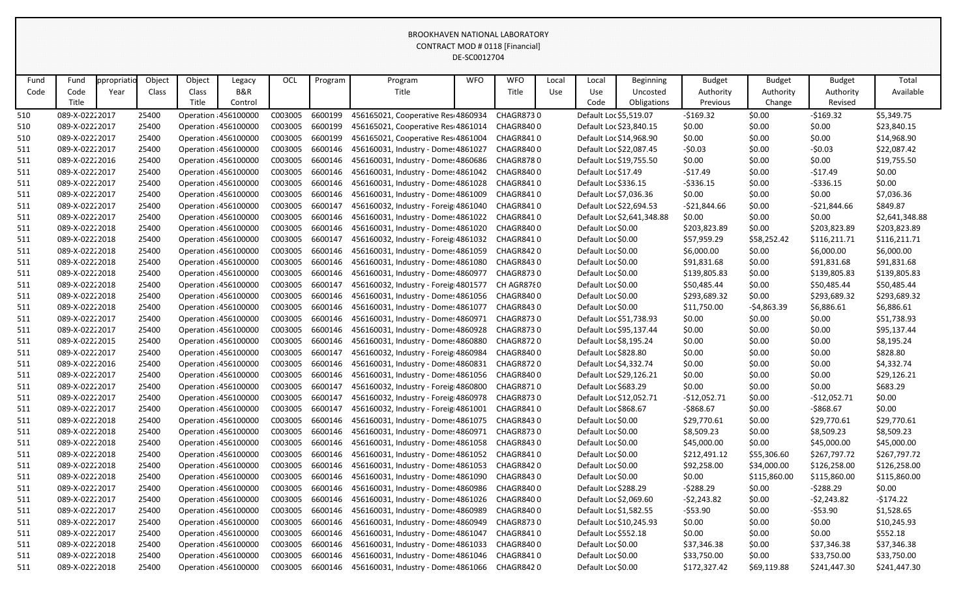|      |                |            |        |        |                       |         |                 |                                                     | DE-SC0012704 |                  |       |                         |                            |               |               |               |                |
|------|----------------|------------|--------|--------|-----------------------|---------|-----------------|-----------------------------------------------------|--------------|------------------|-------|-------------------------|----------------------------|---------------|---------------|---------------|----------------|
| Fund | Fund           | ppropriati | Object | Object | Legacy                | OCL     | Program         | Program                                             | <b>WFO</b>   | <b>WFO</b>       | Local | Local                   | <b>Beginning</b>           | <b>Budget</b> | <b>Budget</b> | <b>Budget</b> | Total          |
| Code | Code           | Year       | Class  | Class  | <b>B&amp;R</b>        |         |                 | Title                                               |              | Title            | Use   | Use                     | Uncosted                   | Authority     | Authority     | Authority     | Available      |
|      | Title          |            |        | Title  | Control               |         |                 |                                                     |              |                  |       | Code                    | Obligations                | Previous      | Change        | Revised       |                |
| 510  | 089-X-02222017 |            | 25400  |        | Operation : 456100000 | C003005 | 6600199         | 456165021, Cooperative Res 4860934                  |              | <b>CHAGR8730</b> |       | Default Loc \$5,519.07  |                            | $-5169.32$    | \$0.00        | $-$169.32$    | \$5,349.75     |
| 510  | 089-X-02222017 |            | 25400  |        | Operation : 456100000 | C003005 | 6600199         | 456165021, Cooperative Res 4861014                  |              | CHAGR8400        |       | Default Loc \$23,840.15 |                            | \$0.00        | \$0.00        | \$0.00        | \$23,840.15    |
| 510  | 089-X-02222017 |            | 25400  |        | Operation 456100000   | C003005 | 6600199         | 456165021, Cooperative Res 4861004                  |              | CHAGR8410        |       | Default Loc \$14,968.90 |                            | \$0.00        | \$0.00        | \$0.00        | \$14,968.90    |
| 511  | 089-X-02222017 |            | 25400  |        | Operation : 456100000 | C003005 | 6600146         | 456160031, Industry - Dome: 4861027                 |              | CHAGR8400        |       | Default Loc \$22,087.45 |                            | $-50.03$      | \$0.00        | $-50.03$      | \$22,087.42    |
| 511  | 089-X-02222016 |            | 25400  |        | Operation : 456100000 | C003005 | 6600146         | 456160031, Industry - Dome: 4860686                 |              | <b>CHAGR8780</b> |       | Default Loc \$19,755.50 |                            | \$0.00        | \$0.00        | \$0.00        | \$19,755.50    |
| 511  | 089-X-02222017 |            | 25400  |        | Operation 456100000   | C003005 | 6600146         | 456160031, Industry - Dome: 4861042                 |              | CHAGR8400        |       | Default Loc \$17.49     |                            | $-517.49$     | \$0.00        | $-517.49$     | \$0.00         |
| 511  | 089-X-02222017 |            | 25400  |        | Operation : 456100000 | C003005 | 6600146         | 456160031, Industry - Dome: 4861028                 |              | CHAGR8410        |       | Default Loc \$336.15    |                            | $-5336.15$    | \$0.00        | $-5336.15$    | \$0.00         |
| 511  | 089-X-02222017 |            | 25400  |        | Operation 456100000   | C003005 | 6600146         | 456160031, Industry - Dome: 4861009                 |              | CHAGR8410        |       | Default Loc \$7,036.36  |                            | \$0.00        | \$0.00        | \$0.00        | \$7,036.36     |
| 511  | 089-X-02222017 |            | 25400  |        | Operation 456100000   | C003005 | 6600147         | 456160032, Industry - Foreig 4861040                |              | CHAGR8410        |       | Default Loc \$22,694.53 |                            | $-521,844.66$ | \$0.00        | -\$21,844.66  | \$849.87       |
| 511  | 089-X-02222017 |            | 25400  |        | Operation : 456100000 | C003005 | 6600146         | 456160031, Industry - Dome: 4861022                 |              | CHAGR8410        |       |                         | Default Loc \$2,641,348.88 | \$0.00        | \$0.00        | \$0.00        | \$2,641,348.88 |
| 511  | 089-X-02222018 |            | 25400  |        | Operation 456100000   | C003005 | 6600146         | 456160031, Industry - Dome: 4861020                 |              | CHAGR8400        |       | Default Loc \$0.00      |                            | \$203,823.89  | \$0.00        | \$203,823.89  | \$203,823.89   |
| 511  | 089-X-02222018 |            | 25400  |        | Operation : 456100000 | C003005 | 6600147         | 456160032, Industry - Foreig 4861032                |              | CHAGR8410        |       | Default Loc \$0.00      |                            | \$57,959.29   | \$58,252.42   | \$116,211.71  | \$116,211.71   |
| 511  | 089-X-02222018 |            | 25400  |        | Operation : 456100000 | C003005 | 6600146         | 456160031, Industry - Dome: 4861059                 |              | CHAGR8420        |       | Default Loc \$0.00      |                            | \$6,000.00    | \$0.00        | \$6,000.00    | \$6,000.00     |
| 511  | 089-X-02222018 |            | 25400  |        | Operation 456100000   | C003005 | 6600146         | 456160031, Industry - Dome: 4861080                 |              | CHAGR8430        |       | Default Loc \$0.00      |                            | \$91,831.68   | \$0.00        | \$91,831.68   | \$91,831.68    |
| 511  | 089-X-02222018 |            | 25400  |        | Operation 456100000   | C003005 | 6600146         | 456160031, Industry - Dome: 4860977                 |              | <b>CHAGR8730</b> |       | Default Loc \$0.00      |                            | \$139,805.83  | \$0.00        | \$139,805.83  | \$139,805.83   |
| 511  | 089-X-02222018 |            | 25400  |        | Operation : 456100000 | C003005 | 6600147         | 456160032, Industry - Foreig 4801577                |              | CH AGR8780       |       | Default Loc \$0.00      |                            | \$50,485.44   | \$0.00        | \$50,485.44   | \$50,485.44    |
| 511  | 089-X-02222018 |            | 25400  |        | Operation 456100000   | C003005 | 6600146         | 456160031, Industry - Dome: 4861056                 |              | CHAGR8400        |       | Default Loc \$0.00      |                            | \$293,689.32  | \$0.00        | \$293,689.32  | \$293,689.32   |
| 511  | 089-X-02222018 |            | 25400  |        | Operation 456100000   | C003005 | 6600146         | 456160031, Industry - Dome: 4861077                 |              | <b>CHAGR8430</b> |       | Default Loc \$0.00      |                            | \$11,750.00   | $-54,863.39$  | \$6,886.61    | \$6,886.61     |
| 511  | 089-X-02222017 |            | 25400  |        | Operation 456100000   | C003005 | 6600146         | 456160031, Industry - Dome: 4860971                 |              | <b>CHAGR8730</b> |       | Default Loc \$51,738.93 |                            | \$0.00        | \$0.00        | \$0.00        | \$51,738.93    |
| 511  | 089-X-02222017 |            | 25400  |        | Operation 456100000   | C003005 | 6600146         | 456160031, Industry - Dome: 4860928                 |              | CHAGR8730        |       | Default Loc \$95,137.44 |                            | \$0.00        | \$0.00        | \$0.00        | \$95,137.44    |
| 511  | 089-X-02222015 |            | 25400  |        | Operation : 456100000 | C003005 | 6600146         | 456160031, Industry - Dome: 4860880                 |              | CHAGR8720        |       | Default Loc \$8,195.24  |                            | \$0.00        | \$0.00        | \$0.00        | \$8,195.24     |
| 511  | 089-X-02222017 |            | 25400  |        | Operation 456100000   | C003005 | 6600147         | 456160032, Industry - Foreig 4860984                |              | CHAGR8400        |       | Default Loc \$828.80    |                            | \$0.00        | \$0.00        | \$0.00        | \$828.80       |
| 511  | 089-X-02222016 |            | 25400  |        | Operation 456100000   | C003005 | 6600146         | 456160031, Industry - Dome: 4860831                 |              | <b>CHAGR8720</b> |       | Default Loc \$4,332.74  |                            | \$0.00        | \$0.00        | \$0.00        | \$4,332.74     |
| 511  | 089-X-02222017 |            | 25400  |        | Operation : 456100000 | C003005 | 6600146         | 456160031, Industry - Dome: 4861056                 |              | CHAGR8400        |       | Default Loc \$29,126.21 |                            | \$0.00        | \$0.00        | \$0.00        | \$29,126.21    |
| 511  | 089-X-02222017 |            | 25400  |        | Operation 456100000   | C003005 | 6600147         | 456160032, Industry - Foreig 4860800                |              | CHAGR8710        |       | Default Loc \$683.29    |                            | \$0.00        | \$0.00        | \$0.00        | \$683.29       |
| 511  | 089-X-02222017 |            | 25400  |        | Operation : 456100000 | C003005 | 6600147         | 456160032, Industry - Foreig 4860978                |              | CHAGR8730        |       | Default Loc \$12,052.71 |                            | $-$12,052.71$ | \$0.00        | $-$12,052.71$ | \$0.00         |
| 511  | 089-X-02222017 |            | 25400  |        | Operation 456100000   | C003005 | 6600147         | 456160032, Industry - Foreig 4861001                |              | CHAGR8410        |       | Default Loc \$868.67    |                            | -\$868.67     | \$0.00        | $-$ \$868.67  | \$0.00         |
| 511  | 089-X-02222018 |            | 25400  |        | Operation 456100000   |         | C003005 6600146 | 456160031, Industry - Dome: 4861075 CHAGR8430       |              |                  |       | Default Loc \$0.00      |                            | \$29,770.61   | \$0.00        | \$29,770.61   | \$29,770.61    |
| 511  | 089-X-02222018 |            | 25400  |        | Operation 456100000   | C003005 | 6600146         | 456160031, Industry - Dome: 4860971                 |              | CHAGR8730        |       | Default Loc \$0.00      |                            | \$8,509.23    | \$0.00        | \$8,509.23    | \$8,509.23     |
| 511  | 089-X-02222018 |            | 25400  |        | Operation 456100000   | C003005 | 6600146         | 456160031, Industry - Dome: 4861058                 |              | CHAGR8430        |       | Default Loc \$0.00      |                            | \$45,000.00   | \$0.00        | \$45,000.00   | \$45,000.00    |
| 511  | 089-X-02222018 |            | 25400  |        | Operation 456100000   | C003005 | 6600146         | 456160031, Industry - Dome: 4861052                 |              | CHAGR8410        |       | Default Loc \$0.00      |                            | \$212,491.12  | \$55,306.60   | \$267,797.72  | \$267,797.72   |
| 511  | 089-X-02222018 |            | 25400  |        | Operation 456100000   | C003005 | 6600146         | 456160031, Industry - Dome: 4861053                 |              | CHAGR8420        |       | Default Loc \$0.00      |                            | \$92,258.00   | \$34,000.00   | \$126,258.00  | \$126,258.00   |
| 511  | 089-X-02222018 |            | 25400  |        | Operation 456100000   | C003005 | 6600146         | 456160031, Industry - Dome: 4861090                 |              | CHAGR8430        |       | Default Loc \$0.00      |                            | \$0.00        | \$115,860.00  | \$115,860.00  | \$115,860.00   |
| 511  | 089-X-02222017 |            | 25400  |        | Operation 456100000   | C003005 | 6600146         | 456160031, Industry - Dome: 4860986                 |              | CHAGR8400        |       | Default Loc \$288.29    |                            | -\$288.29     | \$0.00        | -\$288.29     | \$0.00         |
| 511  | 089-X-02222017 |            | 25400  |        | Operation 456100000   | C003005 | 6600146         | 456160031, Industry - Dome: 4861026                 |              | CHAGR8400        |       | Default Loc \$2,069.60  |                            | $-52,243.82$  | \$0.00        | -\$2,243.82   | -\$174.22      |
| 511  | 089-X-02222017 |            | 25400  |        | Operation 456100000   | C003005 | 6600146         | 456160031, Industry - Dome: 4860989                 |              | CHAGR8400        |       | Default Loc \$1,582.55  |                            | $-$ \$53.90   | \$0.00        | $-$ \$53.90   | \$1,528.65     |
| 511  | 089-X-02222017 |            | 25400  |        | Operation 456100000   | C003005 | 6600146         | 456160031, Industry - Dome: 4860949                 |              | CHAGR8730        |       | Default Loc \$10,245.93 |                            | \$0.00        | \$0.00        | \$0.00        | \$10,245.93    |
| 511  | 089-X-02222017 |            | 25400  |        | Operation 456100000   | C003005 | 6600146         | 456160031, Industry - Dome: 4861047                 |              | CHAGR8410        |       | Default Loc \$552.18    |                            | \$0.00        | \$0.00        | \$0.00        | \$552.18       |
| 511  | 089-X-02222018 |            | 25400  |        | Operation 456100000   | C003005 | 6600146         | 456160031, Industry - Dome: 4861033                 |              | CHAGR8400        |       | Default Loc \$0.00      |                            | \$37,346.38   | \$0.00        | \$37,346.38   | \$37,346.38    |
| 511  | 089-X-02222018 |            | 25400  |        | Operation 456100000   | C003005 | 6600146         | 456160031, Industry - Dome: 4861046                 |              | CHAGR8410        |       | Default Loc \$0.00      |                            | \$33,750.00   | \$0.00        | \$33,750.00   | \$33,750.00    |
| 511  | 089-X-02222018 |            | 25400  |        | Operation 456100000   |         |                 | C003005 6600146 456160031, Industry - Dome: 4861066 |              | CHAGR8420        |       | Default Loc \$0.00      |                            | \$172,327.42  | \$69,119.88   | \$241,447.30  | \$241,447.30   |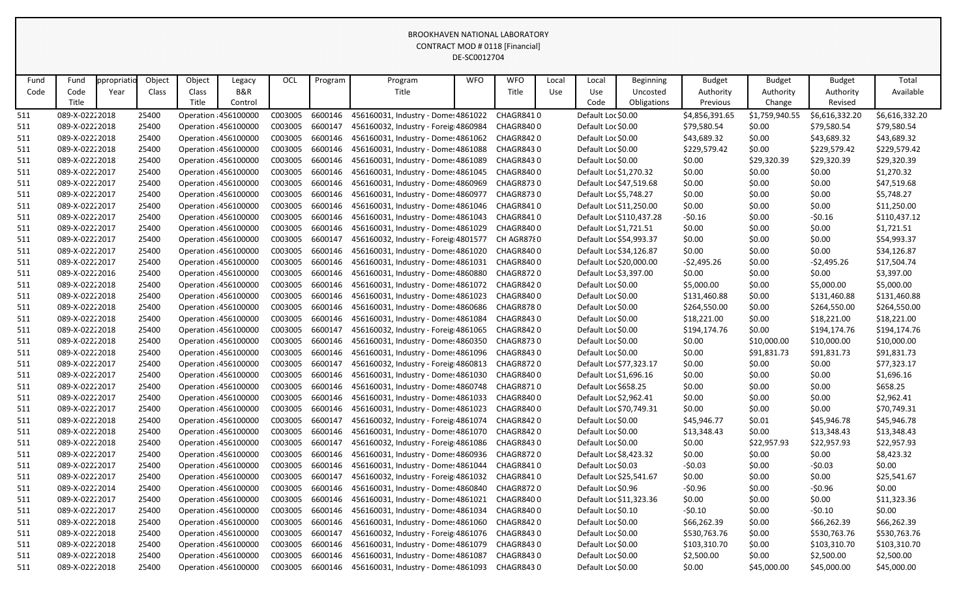|      |                |             |        |              |                     |                 |         |                                                     | DE-SC0012704 |            |       |                         |                          |                |                |                |                |
|------|----------------|-------------|--------|--------------|---------------------|-----------------|---------|-----------------------------------------------------|--------------|------------|-------|-------------------------|--------------------------|----------------|----------------|----------------|----------------|
| Fund | Fund           | ppropriatio | Object | Object       | Legacy              | OCL             | Program | Program                                             | <b>WFO</b>   | <b>WFO</b> | Local | Local                   | <b>Beginning</b>         | <b>Budget</b>  | <b>Budget</b>  | <b>Budget</b>  | Total          |
| Code | Code           | Year        | Class  | <b>Class</b> | <b>B&amp;R</b>      |                 |         | Title                                               |              | Title      | Use   | Use                     | Uncosted                 | Authority      | Authority      | Authority      | Available      |
|      | Title          |             |        | Title        | Control             |                 |         |                                                     |              |            |       | Code                    | Obligations              | Previous       | Change         | Revised        |                |
| 511  | 089-X-02222018 |             | 25400  |              | Operation 456100000 | C003005         | 6600146 | 456160031, Industry - Dome: 4861022                 |              | CHAGR8410  |       | Default Loc \$0.00      |                          | \$4,856,391.65 | \$1,759,940.55 | \$6,616,332.20 | \$6,616,332.20 |
| 511  | 089-X-02222018 |             | 25400  |              | Operation 456100000 | C003005         | 6600147 | 456160032, Industry - Foreig 4860984                |              | CHAGR8400  |       | Default Loc \$0.00      |                          | \$79,580.54    | \$0.00         | \$79,580.54    | \$79,580.54    |
| 511  | 089-X-02222018 |             | 25400  |              | Operation 456100000 | C003005         | 6600146 | 456160031, Industry - Dome: 4861062                 |              | CHAGR8420  |       | Default Loc \$0.00      |                          | \$43,689.32    | \$0.00         | \$43,689.32    | \$43,689.32    |
| 511  | 089-X-02222018 |             | 25400  |              | Operation 456100000 | C003005         | 6600146 | 456160031, Industry - Dome: 4861088                 |              | CHAGR8430  |       | Default Loc \$0.00      |                          | \$229,579.42   | \$0.00         | \$229,579.42   | \$229,579.42   |
| 511  | 089-X-02222018 |             | 25400  |              | Operation 456100000 | C003005         | 6600146 | 456160031, Industry - Dome: 4861089                 |              | CHAGR8430  |       | Default Loc \$0.00      |                          | \$0.00         | \$29,320.39    | \$29,320.39    | \$29,320.39    |
| 511  | 089-X-02222017 |             | 25400  |              | Operation 456100000 | C003005         | 6600146 | 456160031, Industry - Dome: 4861045                 |              | CHAGR8400  |       | Default Loc \$1,270.32  |                          | \$0.00         | \$0.00         | \$0.00         | \$1,270.32     |
| 511  | 089-X-02222017 |             | 25400  |              | Operation 456100000 | C003005         | 6600146 | 456160031, Industry - Dome: 4860969                 |              | CHAGR8730  |       | Default Loc \$47,519.68 |                          | \$0.00         | \$0.00         | \$0.00         | \$47,519.68    |
| 511  | 089-X-02222017 |             | 25400  |              | Operation 456100000 | C003005         | 6600146 | 456160031, Industry - Dome: 4860977                 |              | CHAGR8730  |       | Default Loc \$5,748.27  |                          | \$0.00         | \$0.00         | \$0.00         | \$5,748.27     |
| 511  | 089-X-02222017 |             | 25400  |              | Operation 456100000 | C003005         | 6600146 | 456160031, Industry - Dome: 4861046                 |              | CHAGR8410  |       | Default Loc \$11,250.00 |                          | \$0.00         | \$0.00         | \$0.00         | \$11,250.00    |
| 511  | 089-X-02222017 |             | 25400  |              | Operation 456100000 | C003005         | 6600146 | 456160031, Industry - Dome: 4861043                 |              | CHAGR8410  |       |                         | Default Loc \$110,437.28 | $-50.16$       | \$0.00         | $-50.16$       | \$110,437.12   |
| 511  | 089-X-02222017 |             | 25400  |              | Operation 456100000 | C003005         | 6600146 | 456160031, Industry - Dome: 4861029                 |              | CHAGR8400  |       | Default Loc \$1,721.51  |                          | \$0.00         | \$0.00         | \$0.00         | \$1,721.51     |
| 511  | 089-X-02222017 |             | 25400  |              | Operation 456100000 | C003005         | 6600147 | 456160032, Industry - Foreig 4801577                |              | CH AGR8780 |       | Default Loc \$54,993.37 |                          | \$0.00         | \$0.00         | \$0.00         | \$54,993.37    |
| 511  | 089-X-02222017 |             | 25400  |              | Operation 456100000 | C003005         | 6600146 | 456160031, Industry - Dome: 4861020                 |              | CHAGR8400  |       | Default Loc \$34,126.87 |                          | \$0.00         | \$0.00         | \$0.00         | \$34,126.87    |
| 511  | 089-X-02222017 |             | 25400  |              | Operation 456100000 | C003005         | 6600146 | 456160031, Industry - Dome: 4861031                 |              | CHAGR8400  |       | Default Loc \$20,000.00 |                          | $-52,495.26$   | \$0.00         | $-52,495.26$   | \$17,504.74    |
| 511  | 089-X-02222016 |             | 25400  |              | Operation 456100000 | C003005         | 6600146 | 456160031, Industry - Dome: 4860880                 |              | CHAGR8720  |       | Default Loc \$3,397.00  |                          | \$0.00         | \$0.00         | \$0.00         | \$3,397.00     |
| 511  | 089-X-02222018 |             | 25400  |              | Operation 456100000 | C003005         | 6600146 | 456160031, Industry - Dome: 4861072                 |              | CHAGR8420  |       | Default Loc \$0.00      |                          | \$5,000.00     | \$0.00         | \$5,000.00     | \$5,000.00     |
| 511  | 089-X-02222018 |             | 25400  |              | Operation 456100000 | C003005         | 6600146 | 456160031, Industry - Dome: 4861023                 |              | CHAGR8400  |       | Default Loc \$0.00      |                          | \$131,460.88   | \$0.00         | \$131,460.88   | \$131,460.88   |
| 511  | 089-X-02222018 |             | 25400  |              | Operation 456100000 | C003005         | 6600146 | 456160031, Industry - Dome: 4860686                 |              | CHAGR8780  |       | Default Loc \$0.00      |                          | \$264,550.00   | \$0.00         | \$264,550.00   | \$264,550.00   |
| 511  | 089-X-02222018 |             | 25400  |              | Operation 456100000 | C003005         | 6600146 | 456160031, Industry - Dome: 4861084                 |              | CHAGR8430  |       | Default Loc \$0.00      |                          | \$18,221.00    | \$0.00         | \$18,221.00    | \$18,221.00    |
| 511  | 089-X-02222018 |             | 25400  |              | Operation 456100000 | C003005         | 6600147 | 456160032, Industry - Foreig 4861065                |              | CHAGR8420  |       | Default Loc \$0.00      |                          | \$194,174.76   | \$0.00         | \$194,174.76   | \$194,174.76   |
| 511  | 089-X-02222018 |             | 25400  |              | Operation 456100000 | C003005         | 6600146 | 456160031, Industry - Dome: 4860350                 |              | CHAGR8730  |       | Default Loc \$0.00      |                          | \$0.00         | \$10,000.00    | \$10,000.00    | \$10,000.00    |
| 511  | 089-X-02222018 |             | 25400  |              | Operation 456100000 | C003005         | 6600146 | 456160031, Industry - Dome: 4861096                 |              | CHAGR8430  |       | Default Loc \$0.00      |                          | \$0.00         | \$91,831.73    | \$91,831.73    | \$91,831.73    |
| 511  | 089-X-02222017 |             | 25400  |              | Operation 456100000 | C003005         | 6600147 | 456160032, Industry - Foreig 4860813                |              | CHAGR8720  |       | Default Loc \$77,323.17 |                          | \$0.00         | \$0.00         | \$0.00         | \$77,323.17    |
| 511  | 089-X-02222017 |             | 25400  |              | Operation 456100000 | C003005         | 6600146 | 456160031, Industry - Dome: 4861030                 |              | CHAGR8400  |       | Default Loc \$1,696.16  |                          | \$0.00         | \$0.00         | \$0.00         | \$1,696.16     |
| 511  | 089-X-02222017 |             | 25400  |              | Operation 456100000 | C003005         | 6600146 | 456160031, Industry - Dome: 4860748                 |              | CHAGR8710  |       | Default Loc \$658.25    |                          | \$0.00         | \$0.00         | \$0.00         | \$658.25       |
| 511  | 089-X-02222017 |             | 25400  |              | Operation 456100000 | C003005         | 6600146 | 456160031, Industry - Dome: 4861033                 |              | CHAGR8400  |       | Default Loc \$2,962.41  |                          | \$0.00         | \$0.00         | \$0.00         | \$2,962.41     |
| 511  | 089-X-02222017 |             | 25400  |              | Operation 456100000 | C003005         |         | 6600146 456160031, Industry - Dome: 4861023         |              | CHAGR8400  |       | Default Loc \$70,749.31 |                          | \$0.00         | \$0.00         | \$0.00         | \$70,749.31    |
| 511  | 089-X-02222018 |             | 25400  |              | Operation 456100000 | C003005 6600147 |         | 456160032, Industry - Foreig 4861074                |              | CHAGR8420  |       | Default Loc \$0.00      |                          | \$45,946.77    | \$0.01         | \$45,946.78    | \$45,946.78    |
| 511  | 089-X-02222018 |             | 25400  |              | Operation 456100000 | C003005         | 6600146 | 456160031, Industry - Dome: 4861070                 |              | CHAGR8420  |       | Default Loc \$0.00      |                          | \$13,348.43    | \$0.00         | \$13,348.43    | \$13,348.43    |
| 511  | 089-X-02222018 |             | 25400  |              | Operation 456100000 | C003005         | 6600147 | 456160032, Industry - Foreig 4861086                |              | CHAGR8430  |       | Default Loc \$0.00      |                          | \$0.00         | \$22,957.93    | \$22,957.93    | \$22,957.93    |
| 511  | 089-X-02222017 |             | 25400  |              | Operation 456100000 | C003005         | 6600146 | 456160031, Industry - Dome: 4860936                 |              | CHAGR8720  |       | Default Loc \$8,423.32  |                          | \$0.00         | \$0.00         | \$0.00         | \$8,423.32     |
| 511  | 089-X-02222017 |             | 25400  |              | Operation 456100000 | C003005         | 6600146 | 456160031, Industry - Dome: 4861044                 |              | CHAGR8410  |       | Default Loc \$0.03      |                          | $-50.03$       | \$0.00         | $-50.03$       | \$0.00         |
| 511  | 089-X-02222017 |             | 25400  |              | Operation 456100000 | C003005         | 6600147 | 456160032, Industry - Foreig 4861032                |              | CHAGR8410  |       | Default Loc \$25,541.67 |                          | \$0.00         | \$0.00         | \$0.00         | \$25,541.67    |
| 511  | 089-X-02222014 |             | 25400  |              | Operation 456100000 | C003005         | 6600146 | 456160031, Industry - Dome: 4860840                 |              | CHAGR8720  |       | Default Loc \$0.96      |                          | $-50.96$       | \$0.00         | $-50.96$       | \$0.00         |
| 511  | 089-X-02222017 |             | 25400  |              | Operation 456100000 | C003005 6600146 |         | 456160031, Industry - Dome: 4861021                 |              | CHAGR8400  |       | Default Loc \$11,323.36 |                          | \$0.00         | \$0.00         | \$0.00         | \$11,323.36    |
| 511  | 089-X-02222017 |             | 25400  |              | Operation 456100000 | C003005         | 6600146 | 456160031, Industry - Dome: 4861034                 |              | CHAGR8400  |       | Default Loc \$0.10      |                          | $-50.10$       | \$0.00         | $-50.10$       | \$0.00         |
| 511  | 089-X-02222018 |             | 25400  |              | Operation 456100000 | C003005         | 6600146 | 456160031, Industry - Dome: 4861060                 |              | CHAGR8420  |       | Default Loc \$0.00      |                          | \$66,262.39    | \$0.00         | \$66,262.39    | \$66,262.39    |
| 511  | 089-X-02222018 |             | 25400  |              | Operation 456100000 | C003005         | 6600147 | 456160032, Industry - Foreig 4861076                |              | CHAGR8430  |       | Default Loc \$0.00      |                          | \$530,763.76   | \$0.00         | \$530,763.76   | \$530,763.76   |
| 511  | 089-X-02222018 |             | 25400  |              | Operation 456100000 | C003005         | 6600146 | 456160031, Industry - Dome: 4861079                 |              | CHAGR8430  |       | Default Loc \$0.00      |                          | \$103,310.70   | \$0.00         | \$103,310.70   | \$103,310.70   |
| 511  | 089-X-02222018 |             | 25400  |              | Operation 456100000 | C003005         | 6600146 | 456160031, Industry - Dome: 4861087                 |              | CHAGR8430  |       | Default Loc \$0.00      |                          | \$2,500.00     | \$0.00         | \$2,500.00     | \$2,500.00     |
| 511  | 089-X-02222018 |             | 25400  |              | Operation 456100000 |                 |         | C003005 6600146 456160031, Industry - Dome: 4861093 |              | CHAGR8430  |       | Default Loc \$0.00      |                          | \$0.00         | \$45,000.00    | \$45,000.00    | \$45,000.00    |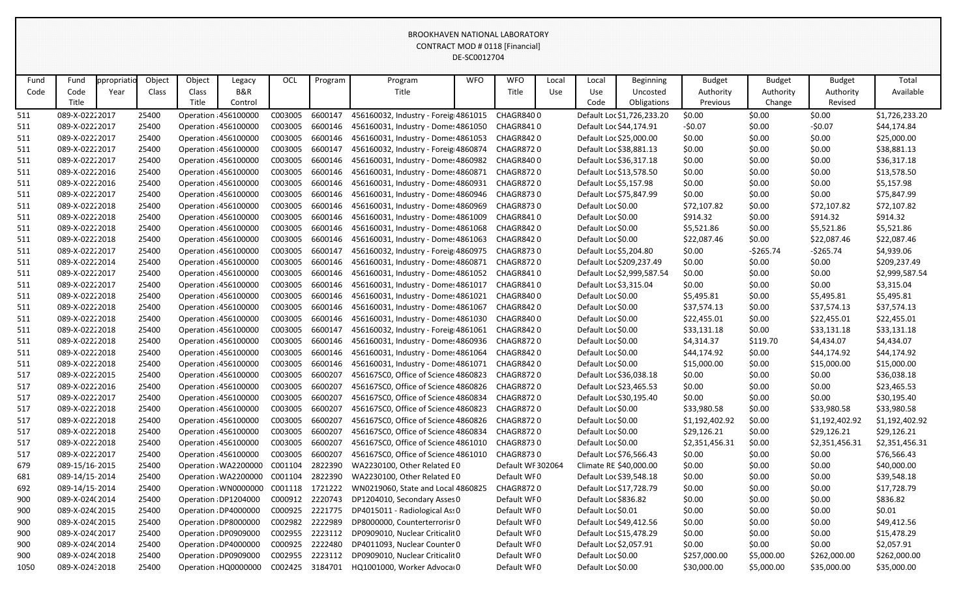|      |                |             |        |        |                       |                 |         |                                      | DE-SCOUTZ704 |                   |       |                         |                            |                |               |                |                |
|------|----------------|-------------|--------|--------|-----------------------|-----------------|---------|--------------------------------------|--------------|-------------------|-------|-------------------------|----------------------------|----------------|---------------|----------------|----------------|
| Fund | Fund           | ppropriatic | Object | Object | Legacy                | OCL             | Program | Program                              | <b>WFO</b>   | <b>WFO</b>        | Local | Local                   | <b>Beginning</b>           | <b>Budget</b>  | <b>Budget</b> | <b>Budget</b>  | Total          |
| Code | Code           | Year        | Class  | Class  | <b>B&amp;R</b>        |                 |         | Title                                |              | Title             | Use   | Use                     | Uncosted                   | Authority      | Authority     | Authority      | Available      |
|      | Title          |             |        | Title  | Control               |                 |         |                                      |              |                   |       | Code                    | Obligations                | Previous       | Change        | Revised        |                |
| 511  | 089-X-02222017 |             | 25400  |        | Operation 456100000   | C003005         | 6600147 | 456160032, Industry - Foreig 4861015 |              | CHAGR8400         |       |                         | Default Loc \$1,726,233.20 | \$0.00         | \$0.00        | \$0.00         | \$1,726,233.20 |
| 511  | 089-X-02222017 |             | 25400  |        | Operation 456100000   | C003005         | 6600146 | 456160031, Industry - Dome: 4861050  |              | CHAGR8410         |       | Default Loc \$44,174.91 |                            | $-50.07$       | \$0.00        | $-50.07$       | \$44,174.84    |
| 511  | 089-X-02222017 |             | 25400  |        | Operation 456100000   | C003005         | 6600146 | 456160031, Industry - Dome: 4861053  |              | CHAGR8420         |       | Default Loc \$25,000.00 |                            | \$0.00         | \$0.00        | \$0.00         | \$25,000.00    |
| 511  | 089-X-02222017 |             | 25400  |        | Operation 456100000   | C003005         | 6600147 | 456160032, Industry - Foreig 4860874 |              | CHAGR8720         |       | Default Loc \$38,881.13 |                            | \$0.00         | \$0.00        | \$0.00         | \$38,881.13    |
| 511  | 089-X-02222017 |             | 25400  |        | Operation 456100000   | C003005         | 6600146 | 456160031, Industry - Dome: 4860982  |              | CHAGR8400         |       | Default Loc \$36,317.18 |                            | \$0.00         | \$0.00        | \$0.00         | \$36,317.18    |
| 511  | 089-X-02222016 |             | 25400  |        | Operation 456100000   | C003005         | 6600146 | 456160031, Industry - Dome: 4860871  |              | CHAGR8720         |       | Default Loc \$13,578.50 |                            | \$0.00         | \$0.00        | \$0.00         | \$13,578.50    |
| 511  | 089-X-02222016 |             | 25400  |        | Operation 456100000   | C003005         | 6600146 | 456160031, Industry - Dome: 4860931  |              | CHAGR8720         |       | Default Loc \$5,157.98  |                            | \$0.00         | \$0.00        | \$0.00         | \$5,157.98     |
| 511  | 089-X-02222017 |             | 25400  |        | Operation 456100000   | C003005         | 6600146 | 456160031, Industry - Dome: 4860946  |              | CHAGR8730         |       | Default Loc \$75,847.99 |                            | \$0.00         | \$0.00        | \$0.00         | \$75,847.99    |
| 511  | 089-X-02222018 |             | 25400  |        | Operation 456100000   | C003005         | 6600146 | 456160031, Industry - Dome: 4860969  |              | <b>CHAGR8730</b>  |       | Default Loc \$0.00      |                            | \$72,107.82    | \$0.00        | \$72,107.82    | \$72,107.82    |
| 511  | 089-X-02222018 |             | 25400  |        | Operation 456100000   | C003005         | 6600146 | 456160031, Industry - Dome: 4861009  |              | CHAGR8410         |       | Default Loc \$0.00      |                            | \$914.32       | \$0.00        | \$914.32       | \$914.32       |
| 511  | 089-X-02222018 |             | 25400  |        | Operation 456100000   | C003005         | 6600146 | 456160031, Industry - Dome: 4861068  |              | CHAGR8420         |       | Default Loc \$0.00      |                            | \$5,521.86     | \$0.00        | \$5,521.86     | \$5,521.86     |
| 511  | 089-X-02222018 |             | 25400  |        | Operation 456100000   | C003005         | 6600146 | 456160031, Industry - Dome: 4861063  |              | CHAGR8420         |       | Default Loc \$0.00      |                            | \$22,087.46    | \$0.00        | \$22,087.46    | \$22,087.46    |
| 511  | 089-X-02222017 |             | 25400  |        | Operation 456100000   | C003005         | 6600147 | 456160032, Industry - Foreig 4860975 |              | CHAGR8730         |       | Default Loc \$5,204.80  |                            | \$0.00         | $-5265.74$    | $-5265.74$     | \$4,939.06     |
| 511  | 089-X-02222014 |             | 25400  |        | Operation 456100000   | C003005         | 6600146 | 456160031, Industry - Dome: 4860871  |              | CHAGR8720         |       |                         | Default Loc \$209,237.49   | \$0.00         | \$0.00        | \$0.00         | \$209,237.49   |
| 511  | 089-X-02222017 |             | 25400  |        | Operation 456100000   | C003005         | 6600146 | 456160031, Industry - Dome: 4861052  |              | CHAGR8410         |       |                         | Default Loc \$2,999,587.54 | \$0.00         | \$0.00        | \$0.00         | \$2,999,587.54 |
| 511  | 089-X-02222017 |             | 25400  |        | Operation 456100000   | C003005         | 6600146 | 456160031, Industry - Dome: 4861017  |              | CHAGR8410         |       | Default Loc \$3,315.04  |                            | \$0.00         | \$0.00        | \$0.00         | \$3,315.04     |
| 511  | 089-X-02222018 |             | 25400  |        | Operation 456100000   | C003005         | 6600146 | 456160031, Industry - Dome: 4861021  |              | CHAGR8400         |       | Default Loc \$0.00      |                            | \$5,495.81     | \$0.00        | \$5,495.81     | \$5,495.81     |
| 511  | 089-X-02222018 |             | 25400  |        | Operation 456100000   | C003005         | 6600146 | 456160031, Industry - Dome: 4861067  |              | CHAGR8420         |       | Default Loc \$0.00      |                            | \$37,574.13    | \$0.00        | \$37,574.13    | \$37,574.13    |
| 511  | 089-X-02222018 |             | 25400  |        | Operation 456100000   | C003005         | 6600146 | 456160031, Industry - Dome: 4861030  |              | CHAGR8400         |       | Default Loc \$0.00      |                            | \$22,455.01    | \$0.00        | \$22,455.01    | \$22,455.01    |
| 511  | 089-X-02222018 |             | 25400  |        | Operation 456100000   | C003005         | 6600147 | 456160032, Industry - Foreig 4861061 |              | CHAGR8420         |       | Default Loc \$0.00      |                            | \$33,131.18    | \$0.00        | \$33,131.18    | \$33,131.18    |
| 511  | 089-X-02222018 |             | 25400  |        | Operation 456100000   | C003005         | 6600146 | 456160031, Industry - Dome: 4860936  |              | CHAGR8720         |       | Default Loc \$0.00      |                            | \$4,314.37     | \$119.70      | \$4,434.07     | \$4,434.07     |
| 511  | 089-X-02222018 |             | 25400  |        | Operation 456100000   | C003005         | 6600146 | 456160031, Industry - Dome: 4861064  |              | CHAGR8420         |       | Default Loc \$0.00      |                            | \$44,174.92    | \$0.00        | \$44,174.92    | \$44,174.92    |
| 511  | 089-X-02222018 |             | 25400  |        | Operation 456100000   | C003005         | 6600146 | 456160031, Industry - Dome: 4861071  |              | CHAGR8420         |       | Default Loc \$0.00      |                            | \$15,000.00    | \$0.00        | \$15,000.00    | \$15,000.00    |
| 517  | 089-X-02222015 |             | 25400  |        | Operation 456100000   | C003005         | 6600207 | 456167SC0, Office of Science 4860823 |              | CHAGR8720         |       | Default Loc \$36,038.18 |                            | \$0.00         | \$0.00        | \$0.00         | \$36,038.18    |
| 517  | 089-X-02222016 |             | 25400  |        | Operation : 456100000 | C003005         | 6600207 | 456167SC0, Office of Science 4860826 |              | <b>CHAGR8720</b>  |       | Default Loc \$23,465.53 |                            | \$0.00         | \$0.00        | \$0.00         | \$23,465.53    |
| 517  | 089-X-02222017 |             | 25400  |        | Operation 456100000   | C003005         | 6600207 | 456167SC0, Office of Science 4860834 |              | CHAGR8720         |       | Default Loc \$30,195.40 |                            | \$0.00         | \$0.00        | \$0.00         | \$30,195.40    |
| 517  | 089-X-02222018 |             | 25400  |        | Operation 456100000   | C003005         | 6600207 | 456167SC0, Office of Science 4860823 |              | CHAGR8720         |       | Default Loc \$0.00      |                            | \$33,980.58    | \$0.00        | \$33,980.58    | \$33,980.58    |
| 517  | 089-X-02222018 |             | 25400  |        | Operation 456100000   | C003005         | 6600207 | 456167SC0, Office of Science 4860826 |              | <b>CHAGR8720</b>  |       | Default Loc \$0.00      |                            | \$1,192,402.92 | \$0.00        | \$1,192,402.92 | \$1,192,402.92 |
| 517  | 089-X-02222018 |             | 25400  |        | Operation 456100000   | C003005         | 6600207 | 456167SC0, Office of Science 4860834 |              | CHAGR8720         |       | Default Loc \$0.00      |                            | \$29,126.21    | \$0.00        | \$29,126.21    | \$29,126.21    |
| 517  | 089-X-02222018 |             | 25400  |        | Operation 456100000   | C003005         | 6600207 | 456167SC0, Office of Science 4861010 |              | CHAGR8730         |       | Default Loc \$0.00      |                            | \$2,351,456.31 | \$0.00        | \$2,351,456.31 | \$2,351,456.31 |
| 517  | 089-X-02222017 |             | 25400  |        | Operation 456100000   | C003005         | 6600207 | 456167SC0, Office of Science 4861010 |              | CHAGR8730         |       | Default Loc \$76,566.43 |                            | \$0.00         | \$0.00        | \$0.00         | \$76,566.43    |
| 679  | 089-15/16-2015 |             | 25400  |        | Operation WA2200000   | C001104         | 2822390 | WA2230100, Other Related E0          |              | Default WF 302064 |       | Climate RE \$40,000.00  |                            | \$0.00         | \$0.00        | \$0.00         | \$40,000.00    |
| 681  | 089-14/15-2014 |             | 25400  |        | Operation WA2200000   | C001104         | 2822390 | WA2230100, Other Related E0          |              | Default WF0       |       | Default Loc \$39,548.18 |                            | \$0.00         | \$0.00        | \$0.00         | \$39,548.18    |
| 692  | 089-14/15-2014 |             | 25400  |        | Operation WN0000000   | C001118 1721222 |         | WN0219060, State and Local 4860825   |              | CHAGR8720         |       | Default Loc \$17,728.79 |                            | \$0.00         | \$0.00        | \$0.00         | \$17,728.79    |
| 900  | 089-X-024(2014 |             | 25400  |        | Operation DP1204000   | C000912         | 2220743 | DP1204010, Secondary Asses 0         |              | Default WF0       |       | Default Loc \$836.82    |                            | \$0.00         | \$0.00        | \$0.00         | \$836.82       |
| 900  | 089-X-024(2015 |             | 25400  |        | Operation DP4000000   | C000925         | 2221775 | DP4015011 - Radiological Ass 0       |              | Default WF0       |       | Default Loc \$0.01      |                            | \$0.00         | \$0.00        | \$0.00         | \$0.01         |
| 900  | 089-X-024(2015 |             | 25400  |        | Operation DP8000000   | C002982         | 2222989 | DP8000000, Counterterrorisr 0        |              | Default WF0       |       | Default Loc \$49,412.56 |                            | \$0.00         | \$0.00        | \$0.00         | \$49,412.56    |
| 900  | 089-X-024(2017 |             | 25400  |        | Operation DP0909000   | C002955         | 2223112 | DP0909010, Nuclear Criticalit 0      |              | Default WF0       |       | Default Loc \$15,478.29 |                            | \$0.00         | \$0.00        | \$0.00         | \$15,478.29    |
| 900  | 089-X-024(2014 |             | 25400  |        | Operation DP4000000   | C000925         | 2222480 | DP4011093, Nuclear Counter 0         |              | Default WF0       |       | Default Loc \$2,057.91  |                            | \$0.00         | \$0.00        | \$0.00         | \$2,057.91     |
| 900  | 089-X-024(2018 |             | 25400  |        | Operation DP0909000   | C002955         | 2223112 | DP0909010, Nuclear Criticalit 0      |              | Default WF0       |       | Default Loc \$0.00      |                            | \$257,000.00   | \$5,000.00    | \$262,000.00   | \$262,000.00   |
| 1050 | 089-X-02432018 |             | 25400  |        | Operation HQ0000000   | C002425 3184701 |         | HQ1001000, Worker Advoca 0           |              | Default WF0       |       | Default Loc \$0.00      |                            | \$30,000.00    | \$5,000.00    | \$35,000.00    | \$35,000.00    |
|      |                |             |        |        |                       |                 |         |                                      |              |                   |       |                         |                            |                |               |                |                |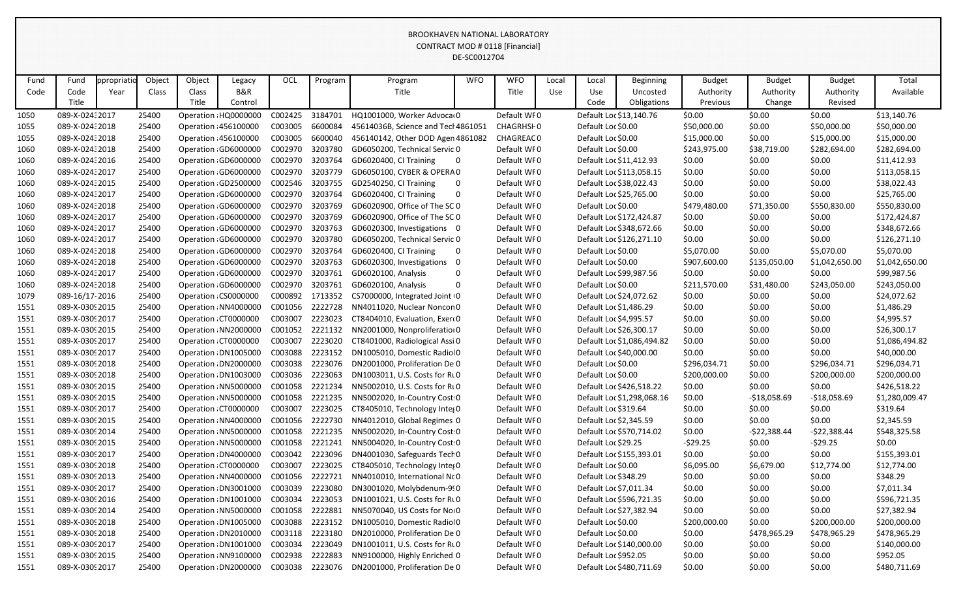|      |                 |            |        |        |                      |                 |         |                                              | DE-SC0012704 |              |       |                         |                            |               |               |                |                |
|------|-----------------|------------|--------|--------|----------------------|-----------------|---------|----------------------------------------------|--------------|--------------|-------|-------------------------|----------------------------|---------------|---------------|----------------|----------------|
| Fund | Fund            | ppropriati | Object | Object | Legacy               | OCL             | Program | Program                                      | <b>WFO</b>   | <b>WFO</b>   | Local | Local                   | <b>Beginning</b>           | <b>Budget</b> | <b>Budget</b> | <b>Budget</b>  | Total          |
| Code | Code            | Year       | Class  | Class  | <b>B&amp;R</b>       |                 |         | Title                                        |              | <b>Title</b> | Use   | Use                     | Uncosted                   | Authority     | Authority     | Authority      | Available      |
|      | Title           |            |        | Title  | Control              |                 |         |                                              |              |              |       | Code                    | Obligations                | Previous      | Change        | Revised        |                |
| 1050 | 089-X-02432017  |            | 25400  |        | Operation HQ0000000  | C002425         | 3184701 | HQ1001000, Worker Advoca 0                   |              | Default WF0  |       | Default Loc \$13,140.76 |                            | \$0.00        | \$0.00        | \$0.00         | \$13,140.76    |
| 1055 | 089-X-02432018  |            | 25400  |        | Operation 456100000  | C003005         | 6600084 | 45614036B, Science and Tecl 4861051          |              | CHAGRHSI 0   |       | Default Loc \$0.00      |                            | \$50,000.00   | \$0.00        | \$50,000.00    | \$50,000.00    |
| 1055 | 089-X-02432018  |            | 25400  |        | Operation 456100000  | C003005         | 6600040 | 456140142, Other DOD Agen 4861082            |              | CHAGREAC0    |       | Default Loc \$0.00      |                            | \$15,000.00   | \$0.00        | \$15,000.00    | \$15,000.00    |
| 1060 | 089-X-02432018  |            | 25400  |        | Operation GD6000000  | C002970         | 3203780 | GD6050200, Technical Servic 0                |              | Default WF0  |       | Default Loc \$0.00      |                            | \$243,975.00  | \$38,719.00   | \$282,694.00   | \$282,694.00   |
| 1060 | 089-X-02432016  |            | 25400  |        | Operation GD6000000  | C002970         | 3203764 | GD6020400, CI Training                       | 0            | Default WF0  |       | Default Loc \$11,412.93 |                            | \$0.00        | \$0.00        | \$0.00         | \$11,412.93    |
| 1060 | 089-X-02432017  |            | 25400  |        | Operation GD6000000  | C002970         | 3203779 | GD6050100, CYBER & OPERA 0                   |              | Default WF0  |       |                         | Default Loc \$113,058.15   | \$0.00        | \$0.00        | \$0.00         | \$113,058.15   |
| 1060 | 089-X-02432015  |            | 25400  |        | Operation GD2500000  | C002546         | 3203755 | GD2540250, CI Training                       | 0            | Default WF0  |       | Default Loc \$38,022.43 |                            | \$0.00        | \$0.00        | \$0.00         | \$38,022.43    |
| 1060 | 089-X-02432017  |            | 25400  |        | Operation GD6000000  | C002970         | 3203764 | GD6020400, CI Training                       | 0            | Default WF0  |       | Default Loc \$25,765.00 |                            | \$0.00        | \$0.00        | \$0.00         | \$25,765.00    |
| 1060 | 089-X-02432018  |            | 25400  |        | Operation GD6000000  | C002970         | 3203769 | GD6020900, Office of The SC 0                |              | Default WF0  |       | Default Loc \$0.00      |                            | \$479,480.00  | \$71,350.00   | \$550,830.00   | \$550,830.00   |
| 1060 | 089-X-02432017  |            | 25400  |        | Operation GD6000000  | C002970         | 3203769 | GD6020900, Office of The SC 0                |              | Default WF0  |       |                         | Default Loc \$172,424.87   | \$0.00        | \$0.00        | \$0.00         | \$172,424.87   |
| 1060 | 089-X-02432017  |            | 25400  |        | Operation GD6000000  | C002970         | 3203763 | GD6020300, Investigations 0                  |              | Default WF0  |       |                         | Default Loc \$348,672.66   | \$0.00        | \$0.00        | \$0.00         | \$348,672.66   |
| 1060 | 089-X-02432017  |            | 25400  |        | Operation GD6000000  | C002970         | 3203780 | GD6050200, Technical Servic 0                |              | Default WF0  |       |                         | Default Loc \$126,271.10   | \$0.00        | \$0.00        | \$0.00         | \$126,271.10   |
| 1060 | 089-X-02432018  |            | 25400  |        | Operation GD6000000  | C002970         | 3203764 | GD6020400, CI Training                       | 0            | Default WF0  |       | Default Loc \$0.00      |                            | \$5,070.00    | \$0.00        | \$5,070.00     | \$5,070.00     |
| 1060 | 089-X-02432018  |            | 25400  |        | Operation: GD6000000 | C002970         | 3203763 | GD6020300, Investigations                    |              | Default WF0  |       | Default Loc \$0.00      |                            | \$907,600.00  | \$135,050.00  | \$1,042,650.00 | \$1,042,650.00 |
| 1060 | 089-X-02432017  |            | 25400  |        | Operation GD6000000  | C002970         | 3203761 | GD6020100, Analysis                          | 0            | Default WF0  |       | Default Loc \$99,987.56 |                            | \$0.00        | \$0.00        | \$0.00         | \$99,987.56    |
| 1060 | 089-X-02432018  |            | 25400  |        | Operation GD6000000  | C002970         | 3203761 | GD6020100, Analysis                          | 0            | Default WF0  |       | Default Loc \$0.00      |                            | \$211,570.00  | \$31,480.00   | \$243,050.00   | \$243,050.00   |
| 1079 | 089-16/17-2016  |            | 25400  |        | Operation: CS0000000 | C000892         | 1713352 | CS7000000, Integrated Joint 0                |              | Default WF0  |       | Default Loc \$24,072.62 |                            | \$0.00        | \$0.00        | \$0.00         | \$24,072.62    |
| 1551 | 089-X-0309 2015 |            | 25400  |        | Operation NN4000000  | C001056         | 2222728 | NN4011020, Nuclear Noncon 0                  |              | Default WF0  |       | Default Loc \$1,486.29  |                            | \$0.00        | \$0.00        | \$0.00         | \$1,486.29     |
| 1551 | 089-X-0309 2017 |            | 25400  |        | Operation CT0000000  | C003007         | 2223023 | CT8404010, Evaluation, Exer(0                |              | Default WF0  |       | Default Loc \$4,995.57  |                            | \$0.00        | \$0.00        | \$0.00         | \$4,995.57     |
| 1551 | 089-X-0309 2015 |            | 25400  |        | Operation NN2000000  | C001052         | 2221132 | NN2001000, Nonproliferation 0                |              | Default WF0  |       | Default Loc \$26,300.17 |                            | \$0.00        | \$0.00        | \$0.00         | \$26,300.17    |
| 1551 | 089-X-0309 2017 |            | 25400  |        | Operation CT0000000  | C003007         | 2223020 | CT8401000, Radiological Assi 0               |              | Default WF0  |       |                         | Default Loc \$1,086,494.82 | \$0.00        | \$0.00        | \$0.00         | \$1,086,494.82 |
| 1551 | 089-X-0309 2017 |            | 25400  |        | Operation DN1005000  | C003088         | 2223152 | DN1005010, Domestic Radiol0                  |              | Default WF0  |       | Default Loc \$40,000.00 |                            | \$0.00        | \$0.00        | \$0.00         | \$40,000.00    |
| 1551 | 089-X-0309 2018 |            | 25400  |        | Operation DN2000000  | C003038         | 2223076 | DN2001000, Proliferation De 0                |              | Default WF0  |       | Default Loc \$0.00      |                            | \$296,034.71  | \$0.00        | \$296,034.71   | \$296,034.71   |
| 1551 | 089-X-0309 2018 |            | 25400  |        | Operation DN1003000  | C003036         | 2223063 | DN1003011, U.S. Costs for Rt 0               |              | Default WF0  |       | Default Loc \$0.00      |                            | \$200,000.00  | \$0.00        | \$200,000.00   | \$200,000.00   |
| 1551 | 089-X-0309 2015 |            | 25400  |        | Operation NN5000000  | C001058         | 2221234 | NN5002010, U.S. Costs for RLO                |              | Default WF0  |       |                         | Default Loc \$426,518.22   | \$0.00        | \$0.00        | \$0.00         | \$426,518.22   |
| 1551 | 089-X-0309 2015 |            | 25400  |        | Operation NN5000000  | C001058         | 2221235 | NN5002020, In-Country Cost: 0                |              | Default WF0  |       |                         | Default Loc \$1,298,068.16 | \$0.00        | $-$18,058.69$ | $-$18,058.69$  | \$1,280,009.47 |
| 1551 | 089-X-0309 2017 |            | 25400  |        | Operation CT0000000  |                 |         | C003007 2223025 CT8405010, Technology Integ0 |              | Default WF0  |       | Default Loc \$319.64    |                            | \$0.00        | \$0.00        | \$0.00         | \$319.64       |
| 1551 | 089-X-0309 2015 |            | 25400  |        | Operation: NN4000000 | C001056 2222730 |         | NN4012010, Global Regimes 0                  |              | Default WF0  |       | Default Loc \$2,345.59  |                            | \$0.00        | \$0.00        | \$0.00         | \$2,345.59     |
| 1551 | 089-X-0309 2014 |            | 25400  |        | Operation: NN5000000 | C001058 2221235 |         | NN5002020, In-Country Cost 0                 |              | Default WF0  |       |                         | Default Loc \$570,714.02   | \$0.00        | $-522,388.44$ | -\$22,388.44   | \$548,325.58   |
| 1551 | 089-X-0309 2015 |            | 25400  |        | Operation NN5000000  | C001058         | 2221241 | NN5004020, In-Country Cost: 0                |              | Default WF0  |       | Default Loc \$29.25     |                            | $-529.25$     | \$0.00        | $-529.25$      | \$0.00         |
| 1551 | 089-X-0309 2017 |            | 25400  |        | Operation DN4000000  | C003042         | 2223096 | DN4001030, Safeguards Tech 0                 |              | Default WF0  |       |                         | Default Loc \$155,393.01   | \$0.00        | \$0.00        | \$0.00         | \$155,393.01   |
| 1551 | 089-X-0309 2018 |            | 25400  |        | Operation CT0000000  | C003007         | 2223025 | CT8405010, Technology Inter 0                |              | Default WF0  |       | Default Loc \$0.00      |                            | \$6,095.00    | \$6,679.00    | \$12,774.00    | \$12,774.00    |
| 1551 | 089-X-0309 2013 |            | 25400  |        | Operation: NN4000000 | C001056         | 2222721 | NN4010010, International NcO                 |              | Default WF0  |       | Default Loc \$348.29    |                            | \$0.00        | \$0.00        | \$0.00         | \$348.29       |
| 1551 | 089-X-0309 2017 |            | 25400  |        | Operation DN3001000  | C003039         | 2223080 | DN3001020, Molybdenum-9!0                    |              | Default WF0  |       | Default Loc \$7,011.34  |                            | \$0.00        | \$0.00        | \$0.00         | \$7,011.34     |
| 1551 | 089-X-0309 2016 |            | 25400  |        | Operation DN1001000  | C003034         | 2223053 | DN1001021, U.S. Costs for Rt 0               |              | Default WF0  |       |                         | Default Loc \$596,721.35   | \$0.00        | \$0.00        | \$0.00         | \$596,721.35   |
| 1551 | 089-X-0309 2014 |            | 25400  |        | Operation: NN5000000 | C001058 2222881 |         | NN5070040, US Costs for Noi0                 |              | Default WF0  |       | Default Loc \$27,382.94 |                            | \$0.00        | \$0.00        | \$0.00         | \$27,382.94    |
| 1551 | 089-X-0309 2018 |            | 25400  |        | Operation DN1005000  | C003088         | 2223152 | DN1005010, Domestic Radiol0                  |              | Default WF0  |       | Default Loc \$0.00      |                            | \$200,000.00  | \$0.00        | \$200,000.00   | \$200,000.00   |
| 1551 | 089-X-0309 2018 |            | 25400  |        | Operation DN2010000  | C003118         | 2223180 | DN2010000, Proliferation De 0                |              | Default WF0  |       | Default Loc \$0.00      |                            | \$0.00        | \$478,965.29  | \$478,965.29   | \$478,965.29   |
| 1551 | 089-X-0309 2017 |            | 25400  |        | Operation DN1001000  | C003034         | 2223049 | DN1001011, U.S. Costs for Rt 0               |              | Default WF0  |       |                         | Default Loc \$140,000.00   | \$0.00        | \$0.00        | \$0.00         | \$140,000.00   |
| 1551 | 089-X-0309 2015 |            | 25400  |        | Operation NN9100000  | C002938         | 2222883 | NN9100000, Highly Enriched 0                 |              | Default WF0  |       | Default Loc \$952.05    |                            | \$0.00        | \$0.00        | \$0.00         | \$952.05       |
| 1551 | 089-X-0309 2017 |            | 25400  |        | Operation DN2000000  | C003038 2223076 |         | DN2001000, Proliferation De 0                |              | Default WF0  |       |                         | Default Loc \$480,711.69   | \$0.00        | \$0.00        | \$0.00         | \$480,711.69   |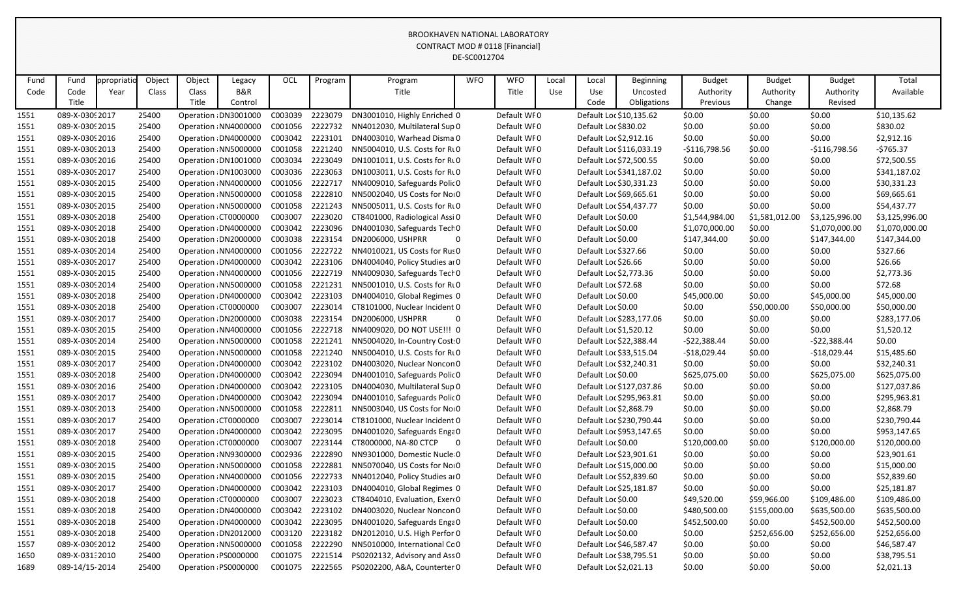|              |                       |                    |                 |                          |                          |                 |         |                                              | DE-SC0012704 |                     |              |                         |                                             |                                        |                                      |                                       |                    |
|--------------|-----------------------|--------------------|-----------------|--------------------------|--------------------------|-----------------|---------|----------------------------------------------|--------------|---------------------|--------------|-------------------------|---------------------------------------------|----------------------------------------|--------------------------------------|---------------------------------------|--------------------|
| Fund<br>Code | Fund<br>Code<br>Title | ppropriati<br>Year | Object<br>Class | Object<br>Class<br>Title | Legacy<br>B&R<br>Control | OCL             | Program | Program<br>Title                             | <b>WFO</b>   | <b>WFO</b><br>Title | Local<br>Use | Local<br>Use<br>Code    | <b>Beginning</b><br>Uncosted<br>Obligations | <b>Budget</b><br>Authority<br>Previous | <b>Budget</b><br>Authority<br>Change | <b>Budget</b><br>Authority<br>Revised | Total<br>Available |
| 1551         | 089-X-0309 2017       |                    | 25400           |                          | Operation DN3001000      | C003039         | 2223079 | DN3001010, Highly Enriched 0                 |              | Default WF0         |              |                         | Default Loc \$10,135.62                     | \$0.00                                 | \$0.00                               | \$0.00                                | \$10,135.62        |
| 1551         | 089-X-0309 2015       |                    | 25400           |                          | Operation: NN4000000     | C001056         | 2222732 | NN4012030, Multilateral Sup 0                |              | Default WF0         |              | Default Loc \$830.02    |                                             | \$0.00                                 | \$0.00                               | \$0.00                                | \$830.02           |
| 1551         | 089-X-0309 2016       |                    | 25400           |                          | Operation DN4000000      | C003042         | 2223101 | DN4003010, Warhead Disma 0                   |              | Default WF0         |              | Default Loc \$2,912.16  |                                             | \$0.00                                 | \$0.00                               | \$0.00                                | \$2,912.16         |
| 1551         | 089-X-0309 2013       |                    | 25400           |                          | Operation NN5000000      | C001058         | 2221240 | NN5004010, U.S. Costs for Rt 0               |              | Default WF0         |              |                         | Default Loc \$116,033.19                    | $-$116,798.56$                         | \$0.00                               | $-$116,798.56$                        | $-5765.37$         |
| 1551         | 089-X-0309 2016       |                    | 25400           |                          | Operation DN1001000      | C003034         | 2223049 | DN1001011, U.S. Costs for Rt 0               |              | Default WF0         |              | Default Loc \$72,500.55 |                                             | \$0.00                                 | \$0.00                               | \$0.00                                | \$72,500.55        |
| 1551         | 089-X-0309 2017       |                    | 25400           |                          | Operation DN1003000      | C003036         | 2223063 | DN1003011, U.S. Costs for Rt 0               |              | Default WF0         |              |                         | Default Loc \$341,187.02                    | \$0.00                                 | \$0.00                               | \$0.00                                | \$341,187.02       |
| 1551         | 089-X-0309 2015       |                    | 25400           |                          | Operation: NN4000000     | C001056         | 2222717 | NN4009010, Safeguards Polic 0                |              | Default WF0         |              | Default Loc \$30,331.23 |                                             | \$0.00                                 | \$0.00                               | \$0.00                                | \$30,331.23        |
| 1551         | 089-X-0309 2015       |                    | 25400           |                          | Operation NN5000000      | C001058         | 2222810 | NN5002040, US Costs for Noi0                 |              | Default WF0         |              | Default Loc \$69,665.61 |                                             | \$0.00                                 | \$0.00                               | \$0.00                                | \$69,665.61        |
| 1551         | 089-X-0309 2015       |                    | 25400           |                          | Operation NN5000000      | C001058         | 2221243 | NN5005011, U.S. Costs for Rt 0               |              | Default WF0         |              |                         | Default Loc \$54,437.77                     | \$0.00                                 | \$0.00                               | \$0.00                                | \$54,437.77        |
| 1551         | 089-X-0309 2018       |                    | 25400           |                          | Operation CT0000000      | C003007         | 2223020 | CT8401000, Radiological Assi 0               |              | Default WF0         |              | Default Loc \$0.00      |                                             | \$1,544,984.00                         | \$1,581,012.00                       | \$3,125,996.00                        | \$3,125,996.00     |
| 1551         | 089-X-0309 2018       |                    | 25400           |                          | Operation DN4000000      | C003042         | 2223096 | DN4001030, Safeguards Tech 0                 |              | Default WF0         |              | Default Loc \$0.00      |                                             | \$1,070,000.00                         | \$0.00                               | \$1,070,000.00                        | \$1,070,000.00     |
| 1551         | 089-X-0309 2018       |                    | 25400           |                          | Operation DN2000000      | C003038         | 2223154 | DN2006000, USHPRR                            |              | Default WF0         |              | Default Loc \$0.00      |                                             | \$147,344.00                           | \$0.00                               | \$147,344.00                          | \$147,344.00       |
| 1551         | 089-X-0309 2014       |                    | 25400           |                          | Operation: NN4000000     | C001056         | 2222722 | NN4010021, US Costs for Rus 0                |              | Default WF0         |              | Default Loc \$327.66    |                                             | \$0.00                                 | \$0.00                               | \$0.00                                | \$327.66           |
| 1551         | 089-X-0309 2017       |                    | 25400           |                          | Operation DN4000000      | C003042         | 2223106 | DN4004040, Policy Studies ar 0               |              | Default WF0         |              | Default Loc \$26.66     |                                             | \$0.00                                 | \$0.00                               | \$0.00                                | \$26.66            |
| 1551         | 089-X-0309 2015       |                    | 25400           |                          | Operation NN4000000      | C001056         | 2222719 | NN4009030, Safeguards Tech 0                 |              | Default WF0         |              | Default Loc \$2,773.36  |                                             | \$0.00                                 | \$0.00                               | \$0.00                                | \$2,773.36         |
| 1551         | 089-X-0309 2014       |                    | 25400           |                          | Operation NN5000000      | C001058         | 2221231 | NN5001010, U.S. Costs for Rt 0               |              | Default WF0         |              | Default Loc \$72.68     |                                             | \$0.00                                 | \$0.00                               | \$0.00                                | \$72.68            |
| 1551         | 089-X-0309 2018       |                    | 25400           |                          | Operation DN4000000      | C003042         | 2223103 | DN4004010, Global Regimes 0                  |              | Default WF0         |              | Default Loc \$0.00      |                                             | \$45,000.00                            | \$0.00                               | \$45,000.00                           | \$45,000.00        |
| 1551         | 089-X-0309 2018       |                    | 25400           |                          | Operation CT0000000      | C003007         | 2223014 | CT8101000, Nuclear Incident 0                |              | Default WF0         |              | Default Loc \$0.00      |                                             | \$0.00                                 | \$50,000.00                          | \$50,000.00                           | \$50,000.00        |
| 1551         | 089-X-0309 2017       |                    | 25400           |                          | Operation DN2000000      | C003038         | 2223154 | DN2006000, USHPRR                            |              | Default WF0         |              |                         | Default Loc \$283,177.06                    | \$0.00                                 | \$0.00                               | \$0.00                                | \$283,177.06       |
| 1551         | 089-X-0309 2015       |                    | 25400           |                          | Operation NN4000000      | C001056         | 2222718 | NN4009020, DO NOT USE !!! 0                  |              | Default WF0         |              | Default Loc \$1,520.12  |                                             | \$0.00                                 | \$0.00                               | \$0.00                                | \$1,520.12         |
| 1551         | 089-X-0309 2014       |                    | 25400           |                          | Operation NN5000000      | C001058         | 2221241 | NN5004020, In-Country Cost 0                 |              | Default WF0         |              | Default Loc \$22,388.44 |                                             | $-522,388.44$                          | \$0.00                               | $-522,388.44$                         | \$0.00             |
| 1551         | 089-X-0309 2015       |                    | 25400           |                          | Operation NN5000000      | C001058         | 2221240 | NN5004010, U.S. Costs for Rt 0               |              | Default WF0         |              |                         | Default Loc \$33,515.04                     | $-$18,029.44$                          | \$0.00                               | $-$18,029.44$                         | \$15,485.60        |
| 1551         | 089-X-0309 2017       |                    | 25400           |                          | Operation DN4000000      | C003042         | 2223102 | DN4003020, Nuclear Noncon 0                  |              | Default WF0         |              | Default Loc \$32,240.31 |                                             | \$0.00                                 | \$0.00                               | \$0.00                                | \$32,240.31        |
| 1551         | 089-X-0309 2018       |                    | 25400           |                          | Operation: DN4000000     | C003042         | 2223094 | DN4001010, Safeguards Polic 0                |              | Default WF0         |              | Default Loc \$0.00      |                                             | \$625,075.00                           | \$0.00                               | \$625,075.00                          | \$625,075.00       |
| 1551         | 089-X-0309 2016       |                    | 25400           |                          | Operation DN4000000      | C003042         | 2223105 | DN4004030, Multilateral Sup 0                |              | Default WF0         |              |                         | Default Loc \$127,037.86                    | \$0.00                                 | \$0.00                               | \$0.00                                | \$127,037.86       |
| 1551         | 089-X-0309 2017       |                    | 25400           |                          | Operation DN4000000      | C003042         | 2223094 | DN4001010, Safeguards Polic 0                |              | Default WF0         |              |                         | Default Loc \$295,963.81                    | \$0.00                                 | \$0.00                               | \$0.00                                | \$295,963.81       |
| 1551         | 089-X-0309 2013       |                    | 25400           |                          | Operation: NN5000000     |                 |         | C001058 2222811 NN5003040, US Costs for Noi0 |              | Default WF0         |              | Default Loc \$2,868.79  |                                             | \$0.00                                 | \$0.00                               | \$0.00                                | \$2,868.79         |
| 1551         | 089-X-0309 2017       |                    | 25400           |                          | Operation CT0000000      | C003007         | 2223014 | CT8101000, Nuclear Incident 0                |              | Default WF0         |              |                         | Default Loc \$230,790.44                    | \$0.00                                 | \$0.00                               | \$0.00                                | \$230,790.44       |
| 1551         | 089-X-0309 2017       |                    | 25400           |                          | Operation DN4000000      | C003042         | 2223095 | DN4001020, Safeguards Enga 0                 |              | Default WF0         |              |                         | Default Loc \$953,147.65                    | \$0.00                                 | \$0.00                               | \$0.00                                | \$953,147.65       |
| 1551         | 089-X-0309 2018       |                    | 25400           |                          | Operation CT0000000      | C003007         | 2223144 | CT8000000, NA-80 CTCP<br>- 0                 |              | Default WF0         |              | Default Loc \$0.00      |                                             | \$120,000.00                           | \$0.00                               | \$120,000.00                          | \$120,000.00       |
| 1551         | 089-X-0309 2015       |                    | 25400           |                          | Operation NN9300000      | C002936         | 2222890 | NN9301000, Domestic Nucle 0                  |              | Default WF0         |              | Default Loc \$23,901.61 |                                             | \$0.00                                 | \$0.00                               | \$0.00                                | \$23,901.61        |
| 1551         | 089-X-0309 2015       |                    | 25400           |                          | Operation NN5000000      | C001058         | 2222881 | NN5070040, US Costs for NoIO                 |              | Default WF0         |              | Default Loc \$15,000.00 |                                             | \$0.00                                 | \$0.00                               | \$0.00                                | \$15,000.00        |
| 1551         | 089-X-0309 2015       |                    | 25400           |                          | Operation: NN4000000     | C001056         | 2222733 | NN4012040, Policy Studies at 0               |              | Default WF0         |              |                         | Default Loc \$52,839.60                     | \$0.00                                 | \$0.00                               | \$0.00                                | \$52,839.60        |
| 1551         | 089-X-0309 2017       |                    | 25400           |                          | Operation: DN4000000     | C003042         | 2223103 | DN4004010, Global Regimes 0                  |              | Default WF0         |              | Default Loc \$25,181.87 |                                             | \$0.00                                 | \$0.00                               | \$0.00                                | \$25,181.87        |
| 1551         | 089-X-0309 2018       |                    | 25400           |                          | Operation CT0000000      | C003007         | 2223023 | CT8404010, Evaluation, Exer(0                |              | Default WF0         |              | Default Loc \$0.00      |                                             | \$49,520.00                            | \$59,966.00                          | \$109,486.00                          | \$109,486.00       |
| 1551         | 089-X-0309 2018       |                    | 25400           |                          | Operation DN4000000      | C003042         | 2223102 | DN4003020, Nuclear Noncon 0                  |              | Default WF0         |              | Default Loc \$0.00      |                                             | \$480,500.00                           | \$155,000.00                         | \$635,500.00                          | \$635,500.00       |
| 1551         | 089-X-0309 2018       |                    | 25400           |                          | Operation DN4000000      | C003042         | 2223095 | DN4001020, Safeguards Enga 0                 |              | Default WF0         |              | Default Loc \$0.00      |                                             | \$452,500.00                           | \$0.00                               | \$452,500.00                          | \$452,500.00       |
| 1551         | 089-X-0309 2018       |                    | 25400           |                          | Operation DN2012000      | C003120         | 2223182 | DN2012010, U.S. High Perfor 0                |              | Default WF0         |              | Default Loc \$0.00      |                                             | \$0.00                                 | \$252,656.00                         | \$252,656.00                          | \$252,656.00       |
| 1557         | 089-X-0309 2012       |                    | 25400           |                          | Operation: NN5000000     | C001058         | 2222290 | NN5010000, International Co 0                |              | Default WF0         |              |                         | Default Loc \$46,587.47                     | \$0.00                                 | \$0.00                               | \$0.00                                | \$46,587.47        |
| 1650         | 089-X-03132010        |                    | 25400           |                          | Operation PS0000000      | C001075         | 2221514 | PS0202132, Advisory and Ass 0                |              | Default WF0         |              | Default Loc \$38,795.51 |                                             | \$0.00                                 | \$0.00                               | \$0.00                                | \$38,795.51        |
| 1689         | 089-14/15-2014        |                    | 25400           |                          | Operation PS0000000      | C001075 2222565 |         | PS0202200, A&A, Counterter 0                 |              | Default WF0         |              | Default Loc \$2,021.13  |                                             | \$0.00                                 | \$0.00                               | \$0.00                                | \$2,021.13         |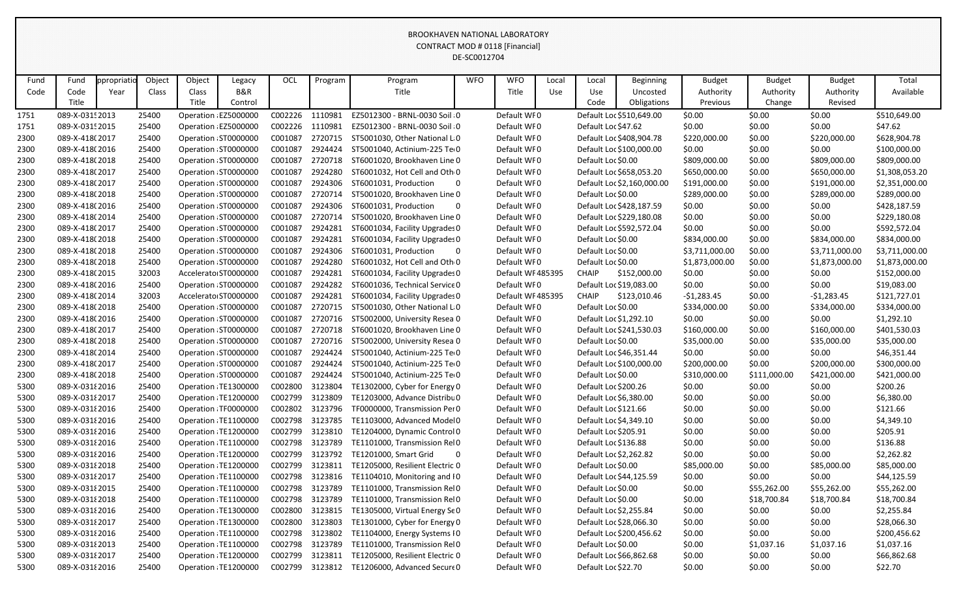|      |                 |            |        |        |                      |                 |         |                                 | DE-SCOUTZ704   |                  |       |                         |                            |                |               |                |                |
|------|-----------------|------------|--------|--------|----------------------|-----------------|---------|---------------------------------|----------------|------------------|-------|-------------------------|----------------------------|----------------|---------------|----------------|----------------|
| Fund | Fund            | ppropriati | Object | Object | Legacy               | OCL             | Program | Program                         | <b>WFO</b>     | <b>WFO</b>       | Local | Local                   | <b>Beginning</b>           | <b>Budget</b>  | <b>Budget</b> | <b>Budget</b>  | Total          |
| Code | Code            | Year       | Class  | Class  | <b>B&amp;R</b>       |                 |         | Title                           |                | Title            | Use   | Use                     | Uncosted                   | Authority      | Authority     | Authority      | Available      |
|      | Title           |            |        | Title  | Control              |                 |         |                                 |                |                  |       | Code                    | Obligations                | Previous       | Change        | Revised        |                |
| 1751 | 089-X-0315 2013 |            | 25400  |        | Operation EZ5000000  | C002226         | 1110981 | EZ5012300 - BRNL-0030 Soil 0    |                | Default WF0      |       |                         | Default Loc \$510,649.00   | \$0.00         | \$0.00        | \$0.00         | \$510,649.00   |
| 1751 | 089-X-0315 2015 |            | 25400  |        | Operation EZ5000000  | C002226         | 1110981 | EZ5012300 - BRNL-0030 Soil 0    |                | Default WF0      |       | Default Loc \$47.62     |                            | \$0.00         | \$0.00        | \$0.00         | \$47.62        |
| 2300 | 089-X-418(2017  |            | 25400  |        | Operation ST0000000  | C001087         | 2720715 | ST5001030, Other National L 0   |                | Default WF0      |       |                         | Default Loc \$408,904.78   | \$220,000.00   | \$0.00        | \$220,000.00   | \$628,904.78   |
| 2300 | 089-X-418(2016  |            | 25400  |        | Operation ST0000000  | C001087         | 2924424 | ST5001040, Actinium-225 Te 0    |                | Default WF0      |       |                         | Default Loc \$100,000.00   | \$0.00         | \$0.00        | \$0.00         | \$100,000.00   |
| 2300 | 089-X-418(2018  |            | 25400  |        | Operation ST0000000  | C001087         | 2720718 | ST6001020, Brookhaven Line 0    |                | Default WF0      |       | Default Loc \$0.00      |                            | \$809,000.00   | \$0.00        | \$809,000.00   | \$809,000.00   |
| 2300 | 089-X-418(2017  |            | 25400  |        | Operation ST0000000  | C001087         | 2924280 | ST6001032, Hot Cell and Oth 0   |                | Default WF0      |       |                         | Default Loc \$658,053.20   | \$650,000.00   | \$0.00        | \$650,000.00   | \$1,308,053.20 |
| 2300 | 089-X-418(2017  |            | 25400  |        | Operation ST0000000  | C001087         | 2924306 | ST6001031, Production           | 0              | Default WF0      |       |                         | Default Loc \$2,160,000.00 | \$191,000.00   | \$0.00        | \$191,000.00   | \$2,351,000.00 |
| 2300 | 089-X-418(2018  |            | 25400  |        | Operation ST0000000  | C001087         | 2720714 | ST5001020, Brookhaven Line 0    |                | Default WF0      |       | Default Loc \$0.00      |                            | \$289,000.00   | \$0.00        | \$289,000.00   | \$289,000.00   |
| 2300 | 089-X-418(2016  |            | 25400  |        | Operation ST0000000  | C001087         | 2924306 | ST6001031, Production           | $\mathbf{0}$   | Default WF0      |       |                         | Default Loc \$428,187.59   | \$0.00         | \$0.00        | \$0.00         | \$428,187.59   |
| 2300 | 089-X-418(2014  |            | 25400  |        | Operation ST0000000  | C001087         | 2720714 | ST5001020, Brookhaven Line 0    |                | Default WF0      |       |                         | Default Loc \$229,180.08   | \$0.00         | \$0.00        | \$0.00         | \$229,180.08   |
| 2300 | 089-X-418(2017  |            | 25400  |        | Operation ST0000000  | C001087         | 2924281 | ST6001034, Facility Upgrades 0  |                | Default WF0      |       |                         | Default Loc \$592,572.04   | \$0.00         | \$0.00        | \$0.00         | \$592,572.04   |
| 2300 | 089-X-418(2018  |            | 25400  |        | Operation ST0000000  | C001087         | 2924281 | ST6001034, Facility Upgrades 0  |                | Default WF0      |       | Default Loc \$0.00      |                            | \$834,000.00   | \$0.00        | \$834,000.00   | \$834,000.00   |
| 2300 | 089-X-418(2018  |            | 25400  |        | Operation ST0000000  | C001087         | 2924306 | ST6001031, Production           | $\overline{0}$ | Default WF0      |       | Default Loc \$0.00      |                            | \$3,711,000.00 | \$0.00        | \$3,711,000.00 | \$3,711,000.00 |
| 2300 | 089-X-418(2018  |            | 25400  |        | Operation ST0000000  | C001087         | 2924280 | ST6001032, Hot Cell and Oth 0   |                | Default WF0      |       | Default Loc \$0.00      |                            | \$1,873,000.00 | \$0.00        | \$1,873,000.00 | \$1,873,000.00 |
| 2300 | 089-X-418(2015  |            | 32003  |        | Accelerato ST0000000 | C001087         | 2924281 | ST6001034, Facility Upgrades 0  |                | Default WF485395 |       | <b>CHAIP</b>            | \$152,000.00               | \$0.00         | \$0.00        | \$0.00         | \$152,000.00   |
| 2300 | 089-X-418(2016  |            | 25400  |        | Operation ST0000000  | C001087         | 2924282 | ST6001036, Technical Service 0  |                | Default WF0      |       | Default Loc \$19,083.00 |                            | \$0.00         | \$0.00        | \$0.00         | \$19,083.00    |
| 2300 | 089-X-418(2014  |            | 32003  |        | Accelerato ST0000000 | C001087         | 2924281 | ST6001034, Facility Upgrades 0  |                | Default WF485395 |       | <b>CHAIP</b>            | \$123,010.46               | $-51,283.45$   | \$0.00        | $-$1,283.45$   | \$121,727.01   |
| 2300 | 089-X-418(2018  |            | 25400  |        | Operation ST0000000  | C001087         | 2720715 | ST5001030, Other National L 0   |                | Default WF0      |       | Default Loc \$0.00      |                            | \$334,000.00   | \$0.00        | \$334,000.00   | \$334,000.00   |
| 2300 | 089-X-418(2016  |            | 25400  |        | Operation ST0000000  | C001087         | 2720716 | ST5002000, University Resea 0   |                | Default WF0      |       | Default Loc \$1,292.10  |                            | \$0.00         | \$0.00        | \$0.00         | \$1,292.10     |
| 2300 | 089-X-418(2017  |            | 25400  |        | Operation ST0000000  | C001087         | 2720718 | ST6001020, Brookhaven Line 0    |                | Default WF0      |       |                         | Default Loc \$241,530.03   | \$160,000.00   | \$0.00        | \$160,000.00   | \$401,530.03   |
| 2300 | 089-X-418(2018  |            | 25400  |        | Operation ST0000000  | C001087         | 2720716 | ST5002000, University Resea 0   |                | Default WF0      |       | Default Loc \$0.00      |                            | \$35,000.00    | \$0.00        | \$35,000.00    | \$35,000.00    |
| 2300 | 089-X-418(2014  |            | 25400  |        | Operation ST0000000  | C001087         | 2924424 | ST5001040, Actinium-225 Te 0    |                | Default WF0      |       | Default Loc \$46,351.44 |                            | \$0.00         | \$0.00        | \$0.00         | \$46,351.44    |
| 2300 | 089-X-418(2017  |            | 25400  |        | Operation ST0000000  | C001087         | 2924424 | ST5001040, Actinium-225 Te 0    |                | Default WF0      |       |                         | Default Loc \$100,000.00   | \$200,000.00   | \$0.00        | \$200,000.00   | \$300,000.00   |
| 2300 | 089-X-418(2018  |            | 25400  |        | Operation ST0000000  | C001087         | 2924424 | ST5001040, Actinium-225 Tei 0   |                | Default WF0      |       | Default Loc \$0.00      |                            | \$310,000.00   | \$111,000.00  | \$421,000.00   | \$421,000.00   |
| 5300 | 089-X-03182016  |            | 25400  |        | Operation TE1300000  | C002800         | 3123804 | TE1302000, Cyber for Energy 0   |                | Default WF0      |       | Default Loc \$200.26    |                            | \$0.00         | \$0.00        | \$0.00         | \$200.26       |
| 5300 | 089-X-03182017  |            | 25400  |        | Operation TE1200000  | C002799         | 3123809 | TE1203000, Advance Distribu 0   |                | Default WF0      |       | Default Loc \$6,380.00  |                            | \$0.00         | \$0.00        | \$0.00         | \$6,380.00     |
| 5300 | 089-X-03182016  |            | 25400  |        | Operation TF0000000  | C002802         | 3123796 | TF0000000, Transmission Per 0   |                | Default WF0      |       | Default Loc \$121.66    |                            | \$0.00         | \$0.00        | \$0.00         | \$121.66       |
| 5300 | 089-X-03182016  |            | 25400  |        | Operation TE1100000  | C002798         | 3123785 | TE1103000, Advanced Model0      |                | Default WF0      |       | Default Loc \$4,349.10  |                            | \$0.00         | \$0.00        | \$0.00         | \$4,349.10     |
| 5300 | 089-X-03182016  |            | 25400  |        | Operation TE1200000  | C002799         | 3123810 | TE1204000, Dynamic Control 0    |                | Default WF0      |       | Default Loc \$205.91    |                            | \$0.00         | \$0.00        | \$0.00         | \$205.91       |
| 5300 | 089-X-03182016  |            | 25400  |        | Operation TE1100000  | C002798         | 3123789 | TE1101000, Transmission Rel0    |                | Default WF0      |       | Default Loc \$136.88    |                            | \$0.00         | \$0.00        | \$0.00         | \$136.88       |
| 5300 | 089-X-03182016  |            | 25400  |        | Operation TE1200000  | C002799         | 3123792 | TE1201000, Smart Grid           | $\overline{0}$ | Default WF0      |       | Default Loc \$2,262.82  |                            | \$0.00         | \$0.00        | \$0.00         | \$2,262.82     |
| 5300 | 089-X-03182018  |            | 25400  |        | Operation TE1200000  | C002799         | 3123811 | TE1205000, Resilient Electric 0 |                | Default WF0      |       | Default Loc \$0.00      |                            | \$85,000.00    | \$0.00        | \$85,000.00    | \$85,000.00    |
| 5300 | 089-X-031 2017  |            | 25400  |        | Operation TE1100000  | C002798         | 3123816 | TE1104010, Monitoring and IO    |                | Default WF0      |       | Default Loc \$44,125.59 |                            | \$0.00         | \$0.00        | \$0.00         | \$44,125.59    |
| 5300 | 089-X-03182015  |            | 25400  |        | Operation TE1100000  | C002798 3123789 |         | TE1101000, Transmission Rel 0   |                | Default WF0      |       | Default Loc \$0.00      |                            | \$0.00         | \$55,262.00   | \$55,262.00    | \$55,262.00    |
| 5300 | 089-X-03182018  |            | 25400  |        | Operation TE1100000  | C002798         | 3123789 | TE1101000, Transmission Rel0    |                | Default WF0      |       | Default Loc \$0.00      |                            | \$0.00         | \$18,700.84   | \$18,700.84    | \$18,700.84    |
| 5300 | 089-X-03182016  |            | 25400  |        | Operation TE1300000  | C002800         | 3123815 | TE1305000, Virtual Energy Se0   |                | Default WF0      |       | Default Loc \$2,255.84  |                            | \$0.00         | \$0.00        | \$0.00         | \$2,255.84     |
| 5300 | 089-X-03182017  |            | 25400  |        | Operation TE1300000  | C002800         | 3123803 | TE1301000, Cyber for Energy 0   |                | Default WF0      |       | Default Loc \$28,066.30 |                            | \$0.00         | \$0.00        | \$0.00         | \$28,066.30    |
| 5300 | 089-X-03182016  |            | 25400  |        | Operation TE1100000  | C002798         | 3123802 | TE1104000, Energy Systems IO    |                | Default WF0      |       |                         | Default Loc \$200,456.62   | \$0.00         | \$0.00        | \$0.00         | \$200,456.62   |
| 5300 | 089-X-03182013  |            | 25400  |        | Operation TE1100000  | C002798         | 3123789 | TE1101000, Transmission Rel0    |                | Default WF0      |       | Default Loc \$0.00      |                            | \$0.00         | \$1,037.16    | \$1,037.16     | \$1,037.16     |
| 5300 | 089-X-03182017  |            | 25400  |        | Operation TE1200000  | C002799         | 3123811 | TE1205000, Resilient Electric 0 |                | Default WF0      |       | Default Loc \$66,862.68 |                            | \$0.00         | \$0.00        | \$0.00         | \$66,862.68    |
| 5300 | 089-X-03182016  |            | 25400  |        | Operation TE1200000  | C002799 3123812 |         | TE1206000, Advanced Secure 0    |                | Default WF0      |       | Default Loc \$22.70     |                            | \$0.00         | \$0.00        | \$0.00         | \$22.70        |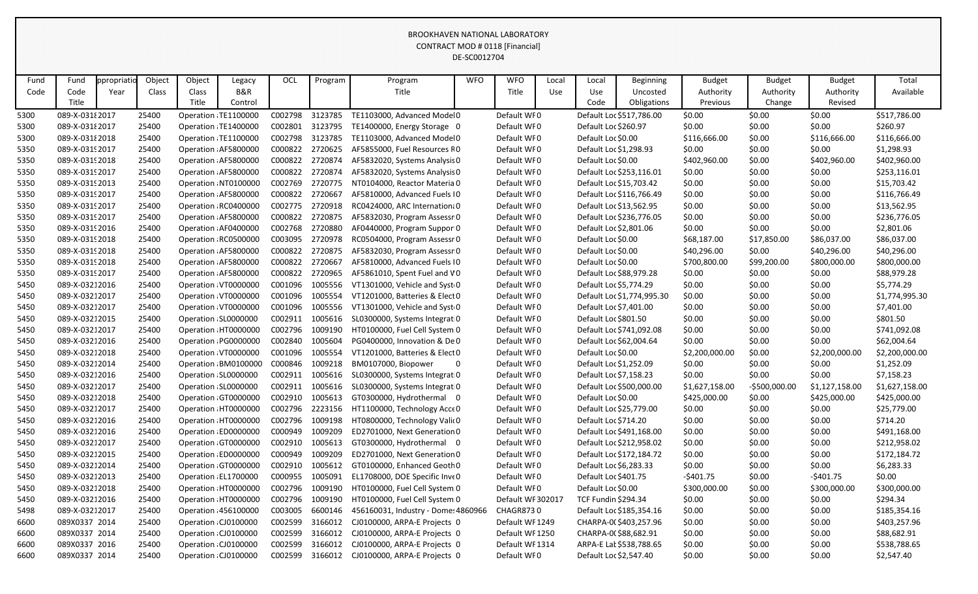|      |                 |            |        |        |                       |                 |         |                                     | DE-SCOUTZ704 |                   |       |                            |                            |                |                |                |                |
|------|-----------------|------------|--------|--------|-----------------------|-----------------|---------|-------------------------------------|--------------|-------------------|-------|----------------------------|----------------------------|----------------|----------------|----------------|----------------|
| Fund | Fund            | ppropriati | Object | Object | Legacy                | OCL             | Program | Program                             | <b>WFO</b>   | <b>WFO</b>        | Local | Local                      | <b>Beginning</b>           | <b>Budget</b>  | <b>Budget</b>  | <b>Budget</b>  | Total          |
| Code | Code            | Year       | Class  | Class  | B&R                   |                 |         | Title                               |              | Title             | Use   | Use                        | Uncosted                   | Authority      | Authority      | Authority      | Available      |
|      | Title           |            |        | Title  | Control               |                 |         |                                     |              |                   |       | Code                       | Obligations                | Previous       | Change         | Revised        |                |
| 5300 | 089-X-03182017  |            | 25400  |        | Operation TE1100000   | C002798         | 3123785 | TE1103000, Advanced Model0          |              | Default WF0       |       |                            | Default Loc \$517,786.00   | \$0.00         | \$0.00         | \$0.00         | \$517,786.00   |
| 5300 | 089-X-03182017  |            | 25400  |        | Operation TE1400000   | C002801         | 3123795 | TE1400000, Energy Storage 0         |              | Default WF0       |       | Default Loc \$260.97       |                            | \$0.00         | \$0.00         | \$0.00         | \$260.97       |
| 5300 | 089-X-03182018  |            | 25400  |        | Operation TE1100000   | C002798         | 3123785 | TE1103000, Advanced Model0          |              | Default WF0       |       | Default Loc \$0.00         |                            | \$116,666.00   | \$0.00         | \$116,666.00   | \$116,666.00   |
| 5350 | 089-X-03192017  |            | 25400  |        | Operation AF5800000   | C000822         | 2720625 | AF5855000, Fuel Resources R0        |              | Default WF0       |       | Default Loc \$1,298.93     |                            | \$0.00         | \$0.00         | \$0.00         | \$1,298.93     |
| 5350 | 089-X-0319 2018 |            | 25400  |        | Operation AF5800000   | C000822         | 2720874 | AF5832020, Systems Analysis 0       |              | Default WF0       |       | Default Loc \$0.00         |                            | \$402,960.00   | \$0.00         | \$402,960.00   | \$402,960.00   |
| 5350 | 089-X-03192017  |            | 25400  |        | Operation AF5800000   | C000822         | 2720874 | AF5832020, Systems Analysis 0       |              | Default WF0       |       |                            | Default Loc \$253,116.01   | \$0.00         | \$0.00         | \$0.00         | \$253,116.01   |
| 5350 | 089-X-0319 2013 |            | 25400  |        | Operation NT0100000   | C002769         | 2720775 | NT0104000, Reactor Materia 0        |              | Default WF0       |       | Default Loc \$15,703.42    |                            | \$0.00         | \$0.00         | \$0.00         | \$15,703.42    |
| 5350 | 089-X-03192017  |            | 25400  |        | Operation AF5800000   | C000822         | 2720667 | AF5810000, Advanced Fuels I0        |              | Default WF0       |       |                            | Default Loc \$116,766.49   | \$0.00         | \$0.00         | \$0.00         | \$116,766.49   |
| 5350 | 089-X-03192017  |            | 25400  |        | Operation RC0400000   | C002775         | 2720918 | RC0424000, ARC Internation: 0       |              | Default WF0       |       | Default Loc \$13,562.95    |                            | \$0.00         | \$0.00         | \$0.00         | \$13,562.95    |
| 5350 | 089-X-03192017  |            | 25400  |        | Operation AF5800000   | C000822         | 2720875 | AF5832030, Program Assessr 0        |              | Default WF0       |       |                            | Default Loc \$236,776.05   | \$0.00         | \$0.00         | \$0.00         | \$236,776.05   |
| 5350 | 089-X-0319 2016 |            | 25400  |        | Operation: AF0400000  | C002768         | 2720880 | AF0440000, Program Suppor 0         |              | Default WF0       |       | Default Loc \$2,801.06     |                            | \$0.00         | \$0.00         | \$0.00         | \$2,801.06     |
| 5350 | 089-X-03192018  |            | 25400  |        | Operation RC0500000   | C003095         | 2720978 | RC0504000, Program Assessr 0        |              | Default WF0       |       | Default Loc \$0.00         |                            | \$68,187.00    | \$17,850.00    | \$86,037.00    | \$86,037.00    |
| 5350 | 089-X-03192018  |            | 25400  |        | Operation AF5800000   | C000822         | 2720875 | AF5832030, Program Assessr 0        |              | Default WF0       |       | Default Loc \$0.00         |                            | \$40,296.00    | \$0.00         | \$40,296.00    | \$40,296.00    |
| 5350 | 089-X-0319 2018 |            | 25400  |        | Operation AF5800000   | C000822         | 2720667 | AF5810000, Advanced Fuels I0        |              | Default WF0       |       | Default Loc \$0.00         |                            | \$700,800.00   | \$99,200.00    | \$800,000.00   | \$800,000.00   |
| 5350 | 089-X-03192017  |            | 25400  |        | Operation AF5800000   | C000822         | 2720965 | AF5861010, Spent Fuel and VO        |              | Default WF0       |       | Default Loc \$88,979.28    |                            | \$0.00         | \$0.00         | \$0.00         | \$88,979.28    |
| 5450 | 089-X-03212016  |            | 25400  |        | Operation: VT0000000  | C001096         | 1005556 | VT1301000, Vehicle and Syst 0       |              | Default WF0       |       | Default Loc \$5,774.29     |                            | \$0.00         | \$0.00         | \$0.00         | \$5,774.29     |
| 5450 | 089-X-03212017  |            | 25400  |        | Operation VT0000000   | C001096         | 1005554 | VT1201000, Batteries & Elect 0      |              | Default WF0       |       |                            | Default Loc \$1,774,995.30 | \$0.00         | \$0.00         | \$0.00         | \$1,774,995.30 |
| 5450 | 089-X-03212017  |            | 25400  |        | Operation VT0000000   | C001096         | 1005556 | VT1301000, Vehicle and Syst 0       |              | Default WF0       |       | Default Loc \$7,401.00     |                            | \$0.00         | \$0.00         | \$0.00         | \$7,401.00     |
| 5450 | 089-X-03212015  |            | 25400  |        | Operation SL0000000   | C002911         | 1005616 | SL0300000, Systems Integrat 0       |              | Default WF0       |       | Default Loc \$801.50       |                            | \$0.00         | \$0.00         | \$0.00         | \$801.50       |
| 5450 | 089-X-03212017  |            | 25400  |        | Operation HT0000000   | C002796         | 1009190 | HT0100000, Fuel Cell System 0       |              | Default WF0       |       |                            | Default Loc \$741,092.08   | \$0.00         | \$0.00         | \$0.00         | \$741,092.08   |
| 5450 | 089-X-03212016  |            | 25400  |        | Operation PG0000000   | C002840         | 1005604 | PG0400000, Innovation & De 0        |              | Default WF0       |       | Default Loc \$62,004.64    |                            | \$0.00         | \$0.00         | \$0.00         | \$62,004.64    |
| 5450 | 089-X-03212018  |            | 25400  |        | Operation VT0000000   | C001096         | 1005554 | VT1201000, Batteries & Elect 0      |              | Default WF0       |       | Default Loc \$0.00         |                            | \$2,200,000.00 | \$0.00         | \$2,200,000.00 | \$2,200,000.00 |
| 5450 | 089-X-03212014  |            | 25400  |        | Operation BM0100000   | C000846         | 1009218 | BM0107000, Biopower                 |              | Default WF0       |       | Default Loc \$1,252.09     |                            | \$0.00         | \$0.00         | \$0.00         | \$1,252.09     |
| 5450 | 089-X-03212016  |            | 25400  |        | Operation SL0000000   | C002911         | 1005616 | SL0300000, Systems Integrat 0       |              | Default WF0       |       | Default Loc \$7,158.23     |                            | \$0.00         | \$0.00         | \$0.00         | \$7,158.23     |
| 5450 | 089-X-03212017  |            | 25400  |        | Operation SL0000000   | C002911         | 1005616 | SL0300000, Systems Integrat 0       |              | Default WF0       |       |                            | Default Loc \$500,000.00   | \$1,627,158.00 | $-5500,000.00$ | \$1,127,158.00 | \$1,627,158.00 |
| 5450 | 089-X-03212018  |            | 25400  |        | Operation GT0000000   | C002910         | 1005613 | GT0300000, Hydrothermal 0           |              | Default WF0       |       | Default Loc \$0.00         |                            | \$425,000.00   | \$0.00         | \$425,000.00   | \$425,000.00   |
| 5450 | 089-X-03212017  |            | 25400  |        | Operation HT0000000   | C002796         | 2223156 | HT1100000, Technology Acce 0        |              | Default WF0       |       | Default Loc \$25,779.00    |                            | \$0.00         | \$0.00         | \$0.00         | \$25,779.00    |
| 5450 | 089-X-03212016  |            | 25400  |        | Operation: HT0000000  | C002796         | 1009198 | HT0800000, Technology Valic0        |              | Default WF0       |       | Default Loc \$714.20       |                            | \$0.00         | \$0.00         | \$0.00         | \$714.20       |
| 5450 | 089-X-03212016  |            | 25400  |        | Operation ED0000000   | C000949         | 1009209 | ED2701000, Next Generation 0        |              | Default WF0       |       |                            | Default Loc \$491,168.00   | \$0.00         | \$0.00         | \$0.00         | \$491,168.00   |
| 5450 | 089-X-03212017  |            | 25400  |        | Operation GT0000000   | C002910         | 1005613 | GT0300000, Hydrothermal 0           |              | Default WF0       |       |                            | Default Loc \$212,958.02   | \$0.00         | \$0.00         | \$0.00         | \$212,958.02   |
| 5450 | 089-X-03212015  |            | 25400  |        | Operation ED0000000   | C000949         | 1009209 | ED2701000, Next Generation 0        |              | Default WF0       |       |                            | Default Loc \$172,184.72   | \$0.00         | \$0.00         | \$0.00         | \$172,184.72   |
| 5450 | 089-X-03212014  |            | 25400  |        | Operation GT0000000   | C002910         | 1005612 | GT0100000, Enhanced Geoth 0         |              | Default WF0       |       | Default Loc \$6,283.33     |                            | \$0.00         | \$0.00         | \$0.00         | \$6,283.33     |
| 5450 | 089-X-03212013  |            | 25400  |        | Operation EL1700000   | C000955         | 1005091 | EL1708000, DOE Specific Inve 0      |              | Default WF0       |       | Default Loc \$401.75       |                            | -\$401.75      | \$0.00         | $-5401.75$     | \$0.00         |
| 5450 | 089-X-03212018  |            | 25400  |        | Operation HT0000000   | C002796 1009190 |         | HT0100000, Fuel Cell System 0       |              | Default WF0       |       | Default Loc \$0.00         |                            | \$300,000.00   | \$0.00         | \$300,000.00   | \$300,000.00   |
| 5450 | 089-X-03212016  |            | 25400  |        | Operation HT0000000   | C002796         | 1009190 | HT0100000, Fuel Cell System 0       |              | Default WF 302017 |       | <b>TCF Fundin \$294.34</b> |                            | \$0.00         | \$0.00         | \$0.00         | \$294.34       |
| 5498 | 089-X-03212017  |            | 25400  |        | Operation : 456100000 | C003005         | 6600146 | 456160031, Industry - Dome: 4860966 |              | <b>CHAGR8730</b>  |       |                            | Default Loc \$185,354.16   | \$0.00         | \$0.00         | \$0.00         | \$185,354.16   |
| 6600 | 089X0337 2014   |            | 25400  |        | Operation CJ0100000   | C002599         | 3166012 | CJ0100000, ARPA-E Projects 0        |              | Default WF1249    |       |                            | CHARPA-0(\$403,257.96      | \$0.00         | \$0.00         | \$0.00         | \$403,257.96   |
| 6600 | 089X0337 2014   |            | 25400  |        | Operation CJ0100000   | C002599         | 3166012 | CJ0100000, ARPA-E Projects 0        |              | Default WF1250    |       | CHARPA-0(\$88,682.91       |                            | \$0.00         | \$0.00         | \$0.00         | \$88,682.91    |
| 6600 | 089X0337 2016   |            | 25400  |        | Operation CJ0100000   | C002599         | 3166012 | CJ0100000, ARPA-E Projects 0        |              | Default WF 1314   |       |                            | ARPA-E Lat \$538,788.65    | \$0.00         | \$0.00         | \$0.00         | \$538,788.65   |
| 6600 | 089X0337 2014   |            | 25400  |        | Operation : CJ0100000 | C002599         | 3166012 | CJ0100000, ARPA-E Projects 0        |              | Default WF0       |       | Default Loc \$2,547.40     |                            | \$0.00         | \$0.00         | \$0.00         | \$2,547.40     |